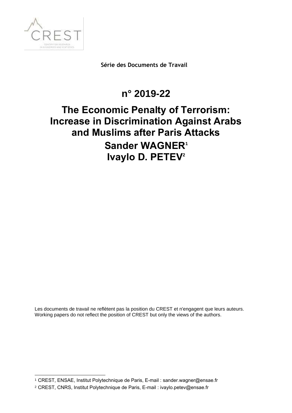

**Série des Documents de Travail**

## **n° 2019-22**

# **The Economic Penalty of Terrorism: Increase in Discrimination Against Arabs and Muslims after Paris Attacks Sander WAGNER<sup>1</sup> Ivaylo D. PETEV<sup>2</sup>**

Les documents de travail ne reflètent pas la position du CREST et n'engagent que leurs auteurs. Working papers do not reflect the position of CREST but only the views of the authors.

1 CREST, ENSAE, Institut Polytechnique de Paris, E-mail : sander.wagner@ensae.fr

<sup>2</sup> CREST, CNRS, Institut Polytechnique de Paris, E-mail : ivaylo.petev@ensae.fr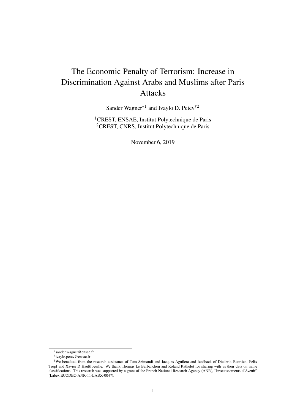## The Economic Penalty of Terrorism: Increase in Discrimination Against Arabs and Muslims after Paris Attacks

Sander Wagner<sup>\*1</sup> and Ivaylo D. Petev<sup>†2</sup>

<sup>1</sup>CREST, ENSAE, Institut Polytechnique de Paris <sup>2</sup>CREST, CNRS, Institut Polytechnique de Paris

November 6, 2019

<sup>\*</sup>sander.wagner@ensae.fr

<sup>†</sup> ivaylo.petev@ensae.fr

<sup>&</sup>lt;sup>1</sup>We benefited from the research assistance of Tom Seimandi and Jacques Aguilera and feedback of Diederik Boertien, Felix Tropf and Xavier D'Haultfoeuille. We thank Thomas Le Barbanchon and Roland Rathelot for sharing with us their data on name classifications. This research was supported by a grant of the French National Research Agency (ANR), "Investissements d'Avenir" (Labex ECODEC-ANR-11-LABX-0047).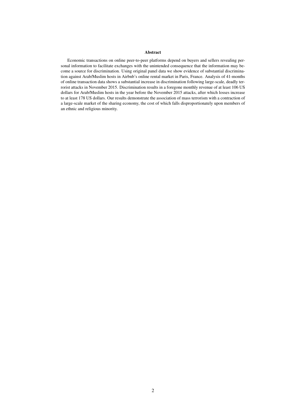#### Abstract

Economic transactions on online peer-to-peer platforms depend on buyers and sellers revealing personal information to facilitate exchanges with the unintended consequence that the information may become a source for discrimination. Using original panel data we show evidence of substantial discrimination against Arab/Muslim hosts in Airbnb's online rental market in Paris, France. Analysis of 41-months of online transaction data shows a substantial increase in discrimination following large-scale, deadly terrorist attacks in November 2015. Discrimination results in a foregone monthly revenue of at least 106 US dollars for Arab/Muslim hosts in the year before the November 2015 attacks, after which losses increase to at least 178 US dollars. Our results demonstrate the association of mass terrorism with a contraction of a large-scale market of the sharing economy, the cost of which falls disproportionately upon members of an ethnic and religious minority.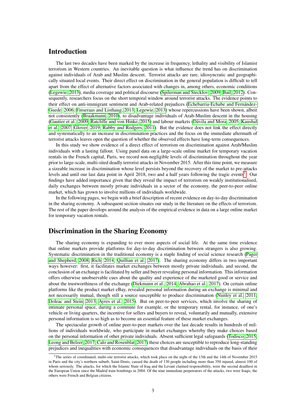### Introduction

The last two decades have been marked by the increase in frequency, lethality and visibility of Islamist terrorism in Western countries. An inevitable question is what influence the trend has on discrimination against individuals of Arab and Muslim descent. Terrorist attacks are rare, idiosyncratic and geographically situated local events. Their direct effect on discrimination in the general population is difficult to tell apart from the effect of alternative factors associated with changes in, among others, economic conditions [\(Legewie, 2013\)](#page-15-0), media coverage and political discourse [\(Spilerman and Stecklov, 2009;](#page-16-0) [Bail, 2012\)](#page-14-0). Consequently, researchers focus on the short temporal window around terrorist attacks. The evidence points to their effect on anti-immigrant sentiment and Arab-related prejudices [\(Echebarria-Echabe and Fernández-](#page-14-1)[Guede, 2006;](#page-14-1) [Finseraas and Listhaug, 2013;](#page-15-1) [Legewie, 2013\)](#page-15-0) whose repercussions have been shown, albeit not consistently [\(Braakmann, 2010\)](#page-14-2), to disadvantage individuals of Arab-Muslim descent in the housing [\(Gautier et al., 2009;](#page-15-2) [Ratcliffe and von Hinke, 2015\)](#page-16-1) and labour markets [\(Dávila and Mora, 2005;](#page-14-3) [Kaushal](#page-15-3) [et al., 2007;](#page-15-3) [Glover, 2019;](#page-15-4) [Rabby and Rodgers, 2011\)](#page-16-2). But the evidence does not link the effect directly and systematically to an increase in discrimination practices and the focus on the immediate aftermath of terrorist attacks leaves open the question of whether the observed effects have long-term consequences.

In this study we show evidence of a direct effect of terrorism on discrimination against Arab/Muslim individuals with a lasting fallout. Using panel data on a large-scale online market for temporary vacation rentals in the French capital, Paris, we record non-negligible levels of discrimination throughout the year prior to large-scale, multi-sited deadly terrorist attacks in November 2015. After this time point, we measure a sizeable increase in discrimination whose level persists beyond the recovery of the market to pre-attacks levels and until our last data point in April 20[1](#page-3-0)8, two and a half years following the tragic events<sup>1</sup>. Our findings have added importance given that they reveal the impact of terrorism on weakly institutionalised, daily exchanges between mostly private individuals in a sector of the economy, the peer-to-peer online market, which has grown to involve millions of individuals worldwide.

In the following pages, we begin with a brief description of recent evidence on day-to-day discrimination in the sharing economy. A subsequent section situates our study in the literature on the effects of terrorism. The rest of the paper develops around the analysis of the empirical evidence in data on a large online market for temporary vacation rentals.

#### Discrimination in the Sharing Economy

The sharing economy is expanding to ever more aspects of social life. At the same time evidence that online markets provide platforms for day-to-day discrimination between strangers is also growing. Systematic discrimination in the traditional economy is a staple finding of social science research [\(Pager](#page-15-5) [and Shepherd, 2008;](#page-15-5) [Rich, 2014;](#page-16-3) [Quillian et al., 2017\)](#page-16-4). The sharing economy differs in two important ways however: first, it facilitates market exchanges between mostly private individuals, and second, the conclusion of an exchange is facilitated by seller and buyer revealing personal information. This information offers otherwise unobservable cues about the quality and experience of the marketed good or service and about the trustworthiness of the exchange [\(Diekmann et al., 2014;](#page-14-4) [Abrahao et al., 2017\)](#page-14-5). On certain online platforms like the product market eBay, revealed personal information during an exchange is minimal and not necessarily mutual, though still a source susceptible to produce discrimination [\(Nunley et al., 2011;](#page-15-6) [Doleac and Stein, 2013;](#page-14-6) [Ayres et al., 2015\)](#page-14-7). But on peer-to-peer services, which involve the sharing of intimate personal space, during a commute for example, or the temporary rental, for instance, of one's vehicle or living quarters, the incentive for sellers and buyers to reveal, voluntarily and mutually, extensive personal information is so high as to become an essential feature of these market exchanges.

The spectacular growth of online peer-to-peer markets over the last decade results in hundreds of millions of individuals worldwide, who participate in market exchanges whereby they make choices based on the personal information of other private individuals. Absent sufficient legal safeguards [\(Todisco, 2015;](#page-16-5) [Leong and Belzer, 2017;](#page-15-7) [Calo and Rosenblat, 2017\)](#page-14-8) these choices are susceptible to reproduce long-standing prejudices and inequalities with economic consequences that disadvantage individuals on the basis of their

<span id="page-3-0"></span><sup>&</sup>lt;sup>1</sup>The series of coordinated, multi-site terrorist attacks, which took place on the night of the 13th and the 14th of November 2015 in Paris and the city's northern suburb, Saint-Denis, caused the death of 130 people including more than 350 injured, almost 100 of whom seriously. The attacks, for which the Islamic State of Iraq and the Levant claimed responsibility, were the second deadliest in the European Union since the Madrid train bombings in 2004. Of the nine immediate perpetrators of the attacks, two were Iraqis, the others were French and Belgian citizens.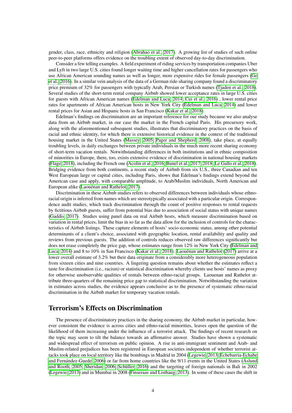gender, class, race, ethnicity and religion [\(Abrahao et al., 2017\)](#page-14-5). A growing list of studies of such online peer-to-peer platforms offers evidence on the troubling extent of observed day-to-day discrimination.

Consider a few telling examples. A field experiment of riding services by transportation companies Uber and Lyft in two large U.S. cities found longer waiting time and higher cancellation rates for passengers who use African American sounding names as well as longer, more expensive rides for female passengers [\(Ge](#page-15-8) [et al., 2016\)](#page-15-8). In a similar vein analysis of the data of a German ride-sharing company found a discriminatory price premium of 32% for passengers with typically Arab, Persian or Turkish names [\(Tjaden et al., 2018\)](#page-16-6). Several studies of the short-term rental company Airbnb showed lower acceptance rates in large U.S. cities for guests with African American names [\(Edelman and Luca, 2014;](#page-14-9) [Cui et al., 2016\)](#page-14-10) , lower rental price rates for apartments of African American hosts in New York City [\(Edelman and Luca, 2014\)](#page-14-9) and lower rental prices for Asian and Hispanic hosts in San Francisco [\(Kakar et al., 2018\)](#page-15-9).

Edelman's findings on discrimination are an important reference for our study because we also analyse data from an Airbnb market, in our case the market in the French capital Paris. His precursory work, along with the aforementioned subsequent studies, illustrates that discriminatory practices on the basis of racial and ethnic identity, for which there is extensive historical evidence in the context of the traditional housing market in the United States [\(Massey, 2005;](#page-15-10) [Pager and Shepherd, 2008\)](#page-15-5), take place, at equally troubling levels, in daily exchanges between private individuals in the much more recent sharing economy of short-term vacation rentals. Notwithstanding differences in both institutions and in ethnic composition of minorities in Europe, there, too, exists extensive evidence of discrimination in national housing markets [\(Flage, 2018\)](#page-15-11), including the French one [\(Acolin et al., 2016;](#page-14-11) [Bunel et al., 2017,](#page-14-12) [2018;](#page-14-13) [Le Gallo et al., 2018\)](#page-15-12). Bridging evidence from both continents, a recent study of Airbnb from six U.S., three Canadian and ten West European large or capital cities, including Paris, shows that Edelman's findings extend beyond the American case and apply, with comparable amplitude, to Arab/Muslim individuals, North American and European alike [\(Laouénan and Rathelot, 2017\)](#page-15-13).

Discrimination in these Airbnb studies refers to observed differences between individuals whose ethnoracial origin is inferred from names which are stereotypically associated with a particular origin. Correspondence audit studies, which track discrimination through the count of positive responses to rental requests by fictitious Airbnb guests, suffer from potential bias due to association of social status with unique names [\(Gaddis, 2017\)](#page-15-14). Studies using panel data on real Airbnb hosts, which measure discrimination based on variation in rental prices, limit the bias in so far as the data allow for the inclusion of controls for the characteristics of Airbnb listings. These capture elements of hosts' socio-economic status, among other potential determinants of a client's choice, associated with geographic location, rental availability and quality and reviews from previous guests. The addition of controls reduces observed raw differences significantly but does not erase completely the price gap, whose estimates range from 12% in New York City [\(Edelman and](#page-14-9) [Luca, 2014\)](#page-14-9) and 8 to 10% in San Francisco [\(Kakar et al., 2018\)](#page-15-9). [Laouénan and Rathelot](#page-15-13) [\(2017\)](#page-15-13) arrive at a lower overall estimate of 3.2% but their data originate from a considerably more heterogeneous population from sixteen cities and nine countries. A lingering question remains about whether the estimates reflect a taste for discrimination (i.e., racism) or statistical discrimination whereby clients use hosts' names as proxy for otherwise unobservable qualities of rentals between ethno-racial groups. Laouenan and Rathelot attribute three-quarters of the remaining price gap to statistical discrimination. Notwithstanding the variation in estimates across studies, the evidence appears conclusive as to the presence of systematic ethno-racial discrimination in the Airbnb market for temporary vacation rentals.

#### Terrorism's Effects on Discrimination

The presence of discriminatory practices in the sharing economy, the Airbnb market in particular, however consistent the evidence is across cities and ethno-racial minorities, leaves open the question of the likelihood of them increasing under the influence of a terrorist attack. The findings of recent research on the topic may seem to tilt the balance towards an affirmative answer. Studies have shown a systematic and widespread effect of terrorism on public opinion. A rise in anti-immigrant sentiment and Arab- and Muslim-related prejudices has been registered in European societies independent of whether terrorist attacks took place on local territory like the bombings in Madrid in 2004 [\(Legewie, 2013;](#page-15-0) [Echebarria-Echabe](#page-14-1) [and Fernández-Guede, 2006\)](#page-14-1) or far from home countries like the 9/11 events in the United States [\(Åslund](#page-16-7) [and Rooth, 2005;](#page-16-7) [Sheridan, 2006;](#page-16-8) [Schüller, 2016\)](#page-16-9) and the targeting of foreign nationals in Bali in 2002 [\(Legewie, 2013\)](#page-15-0) and in Mumbai in 2008 [\(Finseraas and Listhaug, 2013\)](#page-15-1). In some of these cases the shift in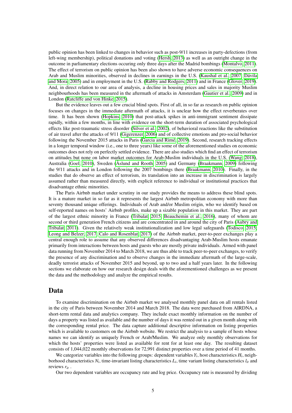public opinion has been linked to changes in behavior such as post-9/11 increases in party-defections (from left-wing membership), political donations and voting [\(Hersh, 2013\)](#page-15-15) as well as an outright change in the outcome in parliamentary elections occuring only three days after the Madrid bombings [\(Montalvo, 2011\)](#page-15-16). The effect of terrorism on public opinion has been also shown to have adverse economic consequences on Arab and Muslim minorities, observed in declines in earnings in the U.S. [\(Kaushal et al., 2007;](#page-15-3) [Dávila](#page-14-3) [and Mora, 2005\)](#page-14-3) and in employment in the U.S. [\(Rabby and Rodgers, 2011\)](#page-16-2) and in France [\(Glover, 2019\)](#page-15-4). And, in direct relation to our area of analysis, a decline in housing prices and sales in majority Muslim neighbourhoods has been measured in the aftermath of attacks in Amsterdam [\(Gautier et al., 2009\)](#page-15-2) and in London [\(Ratcliffe and von Hinke, 2015\)](#page-16-1).

But the evidence leaves out a few crucial blind spots. First of all, in so far as research on public opinion focuses on changes in the immediate aftermath of attacks, it is unclear how the effect reverberates over time. It has been shown [\(Hopkins, 2010\)](#page-15-17) that post-attack spikes in anti-immigrant sentiment dissipate rapidly, within a few months, in line with evidence on the short-term duration of associated psychological effects like post-traumatic stress disorder [\(Silver et al., 2002\)](#page-16-10), of behavioral reactions like the substitution of air travel after the attacks of 9/11 [\(Gigerenzer, 2006\)](#page-15-18) and of collective emotions and pro-social behavior following the November 2015 attacks in Paris [\(Garcia and Rimé, 2019\)](#page-15-19). Second, research tracking effects in a longer temporal window (i.e., one to three years) like some of the aforementioned studies on economic outcomes does not rely on perfectly settled evidence. There are also studies which find an effect of terrorism on attitudes but none on labor market outcomes for Arab-Muslim individuals in the U.S. [\(Wang, 2018\)](#page-16-11), Australia [\(Goel, 2010\)](#page-15-20), Sweden [\(Åslund and Rooth, 2005\)](#page-16-7) and Germany [\(Braakmann, 2009\)](#page-14-14) following the 9/11 attacks and in London following the 2007 bombings there [\(Braakmann, 2010\)](#page-14-2). Finally, in the studies that do observe an effect of terrorism, its translation into an increase in discrimination is largely assumed rather than measured directly, with explicit reference to individual or institutional practices that disadvantage ethnic minorities.

The Paris Airbnb market under scrutiny in our study provides the means to address these blind spots. It is a mature market in so far as it represents the largest Airbnb metropolitan economy with more than seventy thousand unique offerings. Individuals of Arab and/or Muslim origin, who we identify based on self-reported names on hosts' Airbnb profiles, make up a sizable population in this market. They are part of the largest ethnic minority in France [\(Tribalat, 2015;](#page-16-12) [Beauchemin et al., 2016\)](#page-14-15), many of whom are second or third generation French citizens and are concentrated in and around the city of Paris [\(Aubry and](#page-14-16) [Tribalat, 2011\)](#page-14-16). Given the relatively weak institutionalization and low legal safeguards [\(Todisco, 2015;](#page-16-5) [Leong and Belzer, 2017;](#page-15-7) [Calo and Rosenblat, 2017\)](#page-14-8) of the Airbnb market, peer-to-peer exchanges play a central enough role to assume that any observed differences disadvantaging Arab-Muslim hosts emanate primarily from interactions between hosts and guests who are mostly private individuals. Armed with panel data running from November 2014 to March 2018, we are thus able to track peer-to-peer exchanges, to verify the presence of any discrimination and to observe changes in the immediate aftermath of the large-scale, deadly terrorist attacks of November 2015 and beyond, up to two and a half years later. In the following sections we elaborate on how our research design deals with the aforementioned challenges as we present the data and the methodology and analyze the empirical results.

#### Data

To examine discrimination on the Airbnb market we analysed monthly panel data on all rentals listed in the city of Paris between November 2014 and March 2018. The data were purchased from AIRDNA, a short-term rental data and analytics company. They include exact monthly information on the number of days a property was listed as available and the number of days it was rented out in a given month along with the corresponding rental price. The data capture additional descriptive information on listing properties which is available to customers on the Airbnb website. We restrict the analysis to a sample of hosts whose names we can identify as uniquely French or Arab/Muslim. We analyze only monthly observations for which the hosts' properties were listed as available for rent for at least one day. The resulting dataset consists of 1,044,022 monthly observations for 72,991 distinct properties over a time period of 41 months.

We categorize variables into the following groups: dependent variables  $Y_i$ , host characteristics  $H_i$ , neighborhood characteristics  $N_i$ , time-invariant listing characteristics  $L_i$ , time variant listing characteristics  $l_{it}$  and reviews  $r_{it}$ .

Our two dependent variables are occupancy rate and log price. Occupancy rate is measured by dividing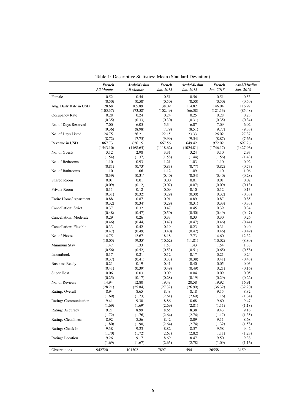|                        | <b>French</b><br>All Months | Arab/Muslim<br>All Months | <b>French</b><br>Jan. 2015 | Arab/Muslim<br>Jan. 2015 | <b>French</b><br>Jan. 2018 | Arab/Muslim<br>Jan. 2018 |
|------------------------|-----------------------------|---------------------------|----------------------------|--------------------------|----------------------------|--------------------------|
| Female                 | 0.52                        | 0.54                      | 0.51                       | 0.56                     | 0.51                       | 0.53                     |
|                        | (0.50)                      | (0.50)                    | (0.50)                     | (0.50)                   | (0.50)                     | (0.50)                   |
| Avg. Daily Rate in USD | 128.68                      | 105.89                    | 138.09                     | 114.82                   | 146.04                     | 116.92                   |
|                        | (105.37)                    | (73.58)                   | (102.49)                   | (66.38)                  | (121.13)                   | (85.48)                  |
| Occupancy Rate         | 0.28                        | 0.24                      | 0.24                       | 0.25                     | 0.28                       | 0.23                     |
|                        | (0.35)                      | (0.33)                    | (0.30)                     | (0.31)                   | (0.35)                     | (0.34)                   |
|                        |                             |                           |                            |                          |                            |                          |
| No. of Days Reserved   | 7.00                        | 6.05                      | 5.34                       | 6.07                     | 7.09                       | 6.02                     |
|                        | (9.36)                      | (8.98)                    | (7.79)                     | (8.51)                   | (9.77)                     | (9.33)                   |
| No. of Days Listed     | 24.75                       | 26.21                     | 22.15                      | 23.33                    | 26.02                      | 27.37                    |
|                        | (8.72)                      | (7.75)                    | (9.99)                     | (9.54)                   | (8.87)                     | (7.66)                   |
| Revenue in USD         | 867.73                      | 626.15                    | 667.56                     | 649.42                   | 972.02                     | 697.26                   |
|                        | (1543.10)                   | (1168.65)                 | (1118.62)                  | (1024.81)                | (1746.17)                  | (1427.96)                |
| No. of Guests          | 3.12                        | 2.98                      | 3.31                       | 3.24                     | 3.10                       | 2.93                     |
|                        | (1.54)                      | (1.37)                    | (1.58)                     | (1.44)                   | (1.56)                     | (1.43)                   |
| No. of Bedrooms        | 1.10                        | 0.93                      | 1.21                       | 1.03                     | 1.10                       | 0.92                     |
|                        | (0.81)                      | (0.73)                    | (0.83)                     | (0.77)                   | (0.82)                     | (0.73)                   |
| No. of Bathrooms       | 1.10                        | 1.06                      | 1.12                       | 1.09                     | 1.10                       | 1.06                     |
|                        | (0.39)                      | (0.31)                    | (0.40)                     | (0.34)                   | (0.40)                     | (0.28)                   |
| Shared Room            | 0.01                        | 0.01                      | 0.00                       | 0.01                     | 0.01                       | 0.02                     |
|                        | (0.09)                      | (0.12)                    | (0.07)                     | (0.07)                   | (0.09)                     | (0.13)                   |
| Private Room           | 0.11                        | 0.12                      | 0.09                       | 0.10                     | 0.12                       | 0.13                     |
|                        | (0.31)                      |                           | (0.29)                     |                          |                            |                          |
|                        |                             | (0.32)                    |                            | (0.30)                   | (0.32)                     | (0.33)                   |
| Entire Home/ Apartment | 0.88                        | 0.87                      | 0.91                       | 0.89                     | 0.87                       | 0.85                     |
|                        | (0.32)                      | (0.34)                    | (0.29)                     | (0.31)                   | (0.33)                     | (0.35)                   |
| Cancellation: Strict   | 0.37                        | 0.32                      | 0.47                       | 0.45                     | 0.39                       | 0.34                     |
|                        | (0.48)                      | (0.47)                    | (0.50)                     | (0.50)                   | (0.49)                     | (0.47)                   |
| Cancellation: Moderate | 0.29                        | 0.26                      | 0.33                       | 0.33                     | 0.30                       | 0.26                     |
|                        | (0.46)                      | (0.44)                    | (0.47)                     | (0.47)                   | (0.46)                     | (0.44)                   |
| Cancellation: Flexible | 0.33                        | 0.42                      | 0.19                       | 0.23                     | 0.31                       | 0.40                     |
|                        | (0.47)                      | (0.49)                    | (0.40)                     | (0.42)                   | (0.46)                     | (0.49)                   |
| No. of Photos          | 14.75                       | 12.67                     | 18.18                      | 17.73                    | 14.60                      | 12.32                    |
|                        | (10.05)                     | (9.35)                    | (10.62)                    | (11.81)                  | (10.02)                    | (8.80)                   |
| Minimum Stay           | 1.47                        | 1.33                      | 1.53                       | 1.43                     | 1.54                       | 1.38                     |
|                        | (0.56)                      | (0.52)                    | (0.53)                     | (0.51)                   | (0.65)                     | (0.58)                   |
| Instantbook            | 0.17                        | 0.21                      | 0.12                       | 0.17                     | 0.21                       | 0.24                     |
|                        |                             |                           | (0.33)                     | (0.38)                   | (0.41)                     |                          |
|                        | (0.37)                      | (0.41)                    |                            |                          |                            | (0.43)                   |
| <b>Business Ready</b>  | 0.21                        | 0.19                      | 0.41                       | 0.40                     | 0.05                       | 0.03                     |
|                        | (0.41)                      | (0.39)                    | (0.49)                     | (0.49)                   | (0.21)                     | (0.16)                   |
| Super Host             | 0.06                        | 0.03                      | 0.09                       | 0.04                     | 0.09                       | 0.05                     |
|                        | (0.25)                      | (0.17)                    | (0.28)                     | (0.19)                   | (0.29)                     | (0.22)                   |
| No. of Reviews         | 14.94                       | 12.80                     | 19.48                      | 20.58                    | 19.92                      | 16.91                    |
|                        | (28.21)                     | (25.84)                   | (27.32)                    | (26.99)                  | (36.32)                    | (32.20)                  |
| Rating: Overall        | 8.94                        | 8.65                      | 8.48                       | 8.18                     | 9.15                       | 8.82                     |
|                        | (1.69)                      | (1.73)                    | (2.61)                     | (2.69)                   | (1.16)                     | (1.34)                   |
| Rating: Communication  | 9.41                        | 9.30                      | 8.86                       | 8.68                     | 9.60                       | 9.47                     |
|                        | (1.69)                      | (1.69)                    | (2.69)                     | (2.81)                   | (1.11)                     | (1.18)                   |
| Rating: Accuracy       | 9.21                        | 8.99                      | 8.65                       | 8.38                     | 9.43                       | 9.16                     |
|                        | (1.72)                      | (1.76)                    | (2.64)                     | (2.74)                   | (1.17)                     | (1.35)                   |
| Rating: Cleanliness    | 8.92                        | 8.56                      | 8.42                       | 8.09                     | 9.11                       | 8.68                     |
|                        |                             |                           |                            |                          |                            |                          |
|                        | (1.80)                      | (1.90)                    | (2.64)                     | (2.74)                   | (1.32)                     | (1.58)                   |
| Rating: Check In       | 9.38                        | 9.23                      | 8.82                       | 8.57                     | 9.58                       | 9.42                     |
|                        | (1.70)                      | (1.72)                    | (2.67)                     | (2.82)                   | (1.11)                     | (1.23)                   |
| Rating: Location       | 9.26                        | 9.17                      | 8.69                       | 8.47                     | 9.50                       | 9.38                     |
|                        | (1.69)                      | (1.67)                    | (2.65)                     | (2.78)                   | (1.09)                     | (1.16)                   |
| Observations           | 942720                      | 101302                    | 7897                       | 594                      | 26558                      | 3159                     |

<span id="page-6-0"></span>Table 1: Descriptive Statistics: Mean (Standard Deviation)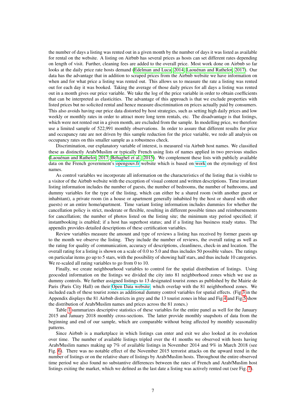the number of days a listing was rented out in a given month by the number of days it was listed as available for rental on the website. A listing on Airbnb has several prices as hosts can set different rates depending on length of visit. Further, cleaning fees are added to the overall price. Most work done on Airbnb so far looks at the daily price rate hosts demand [\(Edelman and Luca, 2014;](#page-14-9) [Laouénan and Rathelot, 2017\)](#page-15-13). Our data has the advantage that in addition to scraped prices from the Airbnb website we have information on when and for what price a listing was rented out. This allows us to measure the rate a listing was rented out for each day it was booked. Taking the average of those daily prices for all days a listing was rented out in a month gives our price variable. We take the log of the price variable in order to obtain coefficients that can be interpreted as elasticities. The advantage of this approach is that we exclude properties with listed prices but no solicited rental and hence measure discrimination on prices actually paid by consumers. This also avoids having our price data distorted by host strategies, such as setting high daily prices and low weekly or monthly rates in order to attract more long term rentals, etc. The disadvantage is that listings, which were not rented out in a given month, are excluded from the sample. In modelling price, we therefore use a limited sample of 522,991 monthly observations. In order to assure that different results for price and occupancy rate are not driven by this sample reduction for the price variable, we redo all analysis on occupancy rates on this smaller sample as a robustness check.

Discrimination, our explanatory variable of interest, is measured via Airbnb host names. We classified these as distinctly Arab/Muslim or typically French using lists of names applied in two previous studies [\(Laouénan and Rathelot, 2017;](#page-15-13) [Behaghel et al., 2015\)](#page-14-17). We complement these lists with publicly available data on the French government's<opengouv.fr> website which is based on [work](https://www.behindthename.com/) on the etymology of first names.

As control variables we incorporate all information on the characteristics of the listing that is visible to a visitor of the Airbnb website with the exception of visual content and written descriptions. Time invariant listing information includes the number of guests, the number of bedrooms, the number of bathrooms, and dummy variables for the type of the listing, which can either be a shared room (with another guest or inhabitant), a private room (in a house or apartment generally inhabited by the host or shared with other guests) or an entire home/apartment. Time variant listing information includes dummies for whether the cancellation policy is strict, moderate or flexible, resulting in different possible times and reimbursements for cancellation; the number of photos listed on the listing site; the minimum stay period specified; if instantbooking is enabled; if a host has superhost status; and if a listing has business ready status. The appendix provides detailed descriptions of these certification variables.

Review variables measure the amount and type of reviews a listing has received by former guests up to the month we observe the listing. They include the number of reviews, the overall rating as well as the rating for quality of communication, accuracy of descriptions, cleanliness, check-in and location. The overall rating for a listing is shown on a scale of 0.0 to 5.0 and thus includes 50 possible values. The ratings on particular items go up to 5 stars, with the possibility of showing half stars, and thus include 10 categories. We re-scaled all rating variables to go from 0 to 10.

Finally, we create neighbourhood variables to control for the spatial distribution of listings. Using geocoded information on the listings we divided the city into 81 neighborhood zones which we use as dummy controls. We further assigned listings to 13 designated tourist zones as published by the Mairie de Paris (Paris City Hall) on their [Open Data website,](https://opendata.paris.fr/explore/?sort=modified) which overlap with the 81 neighborhood zones. We included each of these tourist zones as additional dummy control variables for spatial effects. (Fig[.3](#page-20-0) in the Appendix displays the 81 Airbnb districts in grey and the 13 tourist zones in blue and Fig[.4](#page-21-0) and Fig[.5](#page-22-0) show the distribution of Arab/Muslim names and prices across the 81 zones.)

Table [1](#page-6-0) summarizes descriptive statistics of these variables for the entire panel as well for the January 2015 and January 2018 monthly cross-sections. The latter provide monthly snapshots of data from the beginning and end of our sample, which are comparable without being affected by monthly seasonality patterns.

Since Airbnb is a marketplace in which listings can enter and exit we also looked at its evolution over time. The number of available listings tripled over the 41 months we observed with hosts having Arab/Muslim names making up 7% of available listings in November 2014 and 9% in March 2018 (see Fig. [6\)](#page-22-1). There was no notable effect of the November 2015 terrorist attacks on the upward trend in the number of listings or on the relative share of listings by Arab/Muslim hosts. Throughout the entire observed time period we also found no substantive differences between the rates of French and Arab/Muslim host listings exiting the market, which we defined as the last date a listing was actively rented out (see Fig. [7\)](#page-23-0).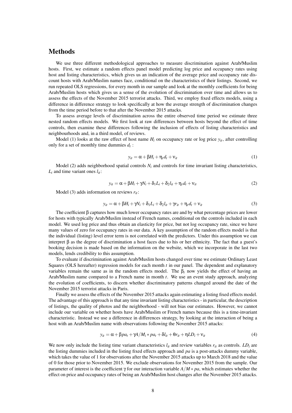#### Methods

We use three different methodological approaches to measure discrimination against Arab/Muslim hosts. First, we estimate a random effects panel model predicting log price and occupancy rates using host and listing characteristics, which gives us an indication of the average price and occupancy rate discount hosts with Arab/Muslim names face, conditional on the characteristics of their listings. Second, we run repeated OLS regressions, for every month in our sample and look at the monthly coefficients for being Arab/Muslim hosts which gives us a sense of the evolution of discrimination over time and allows us to assess the effects of the November 2015 terrorist attacks. Third, we employ fixed effects models, using a difference in difference strategy to look specifically at how the average strength of discrimination changes from the time period before to that after the November 2015 attacks.

To assess average levels of discrimination across the entire observed time period we estimate three nested random effects models. We first look at raw differences between hosts beyond the effect of time controls, then examine these differences following the inclusion of effects of listing characteristics and neighbourhoods and, in a third model, of reviews.

Model (1) looks at the raw effect of host name  $H_i$  on occupancy rate or log price  $y_i$ , after controlling only for a set of monthly time dummies  $d_t$ :

$$
y_{it} = \alpha + \beta H_i + \eta_t d_t + v_{it} \tag{1}
$$

Model (2) adds neighborhood spatial controls  $N_i$  and controls for time invariant listing characteristics,  $L_i$  and time variant ones  $l_{it}$ :

$$
y_{it} = \alpha + \beta H_i + \gamma N_i + \delta_1 L_i + \delta_2 l_{it} + \eta_t d_t + \nu_{it}
$$
\n<sup>(2)</sup>

Model (3) adds information on reviews *rit*:

$$
y_{it} = \alpha + \beta H_i + \gamma N_i + \delta_1 L_i + \delta_2 l_{it} + \gamma r_{it} + \eta_t d_t + v_{it}
$$
\n<sup>(3)</sup>

The coefficient  $\beta$  captures how much lower occupancy rates are and by what percentage prices are lower for hosts with typically Arab/Muslim instead of French names, conditional on the controls included in each model. We used log price and thus obtain an elasticity for price, but not log occupancy rate, since we have many values of zero for occupancy rates in our data. A key assumption of the random effects model is that the individual (listing) level error term is not correlated with the predictors. Under this assumption we can interpret β as the degree of discrimination a host faces due to his or her ethnicity. The fact that a guest's booking decision is made based on the information on the website, which we incorporate in the last two models, lends credibility to this assumption.

To evaluate if discrimination against Arab/Muslim hosts changed over time we estimate Ordinary Least Squares (OLS hereafter) regression models for each month *t* in our panel. The dependent and explanatory variables remain the same as in the random effects model. The  $\beta_t$  now yields the effect of having an Arab/Muslim name compared to a French name in month *t*. We use an event study approach, analyzing the evolution of coefficients, to discern whether discriminatory patterns changed around the date of the November 2015 terrorist attacks in Paris.

Finally we assess the effects of the November 2015 attacks again estimating a listing fixed effects model. The advantage of this approach is that any time invariant listing characteristics - in particular, the description of listings, the quality of photos and the neighborhood - will not bias our estimates. However, we cannot include our variable on whether hosts have Arab/Muslim or French names because this is a time-invariant characteristic. Instead we use a difference in differences strategy, by looking at the interaction of being a host with an Arab/Muslim name with observations following the November 2015 attacks:

$$
y_{it} = \alpha + \beta p a_t + \gamma A / M_i * p a_t + \delta l_{it} + \theta r_{it} + \eta L D_i + v_{it}
$$
\n<sup>(4)</sup>

We now only include the listing time variant characteristics  $l_{it}$  and review variables  $r_{it}$  as controls.  $LD_i$  are the listing dummies included in the listing fixed effects approach and *pa* is a post-attacks dummy variable, which takes the value of 1 for observations after the November 2015 attacks up to March 2018 and the value of 0 for those prior to November 2015. We exclude observations for November 2015 from the sample. Our parameter of interest is the coefficient γ for our interaction variable *A*/*M* ∗ *pa*, which estimates whether the effect on price and occupancy rates of being an Arab/Muslim host changes after the November 2015 attacks.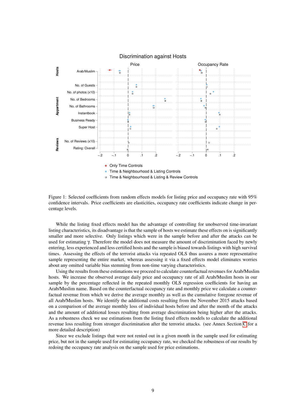

Discrimination against Hosts

<span id="page-9-0"></span>Figure 1: Selected coefficients from random effects models for listing price and occupancy rate with 95% confidence intervals. Price coefficients are elasticities, occupancy rate coefficients indicate change in percentage levels.

While the listing fixed effects model has the advantage of controlling for unobserved time-invariant listing characteristics, its disadvantage is that the sample of hosts we estimate these effects on is significantly smaller and more selective. Only listings which were in the sample before and after the attacks can be used for estimating γ. Therefore the model does not measure the amount of discrimination faced by newly entering, less experienced and less certified hosts and the sample is biased towards listings with high survival times. Assessing the effects of the terrorist attacks via repeated OLS thus assures a more representative sample representing the entire market, whereas assessing it via a fixed effects model eliminates worries about any omitted variable bias stemming from non-time varying characteristics.

Using the results from these estimations we proceed to calculate counterfactual revenues for Arab/Muslim hosts. We increase the observed average daily price and occupancy rate of all Arab/Muslim hosts in our sample by the percentage reflected in the repeated monthly OLS regression coefficients for having an Arab/Muslim name. Based on the counterfactual occupancy rate and monthly price we calculate a counterfactual revenue from which we derive the average monthly as well as the cumulative foregone revenue of all Arab/Muslim hosts. We identify the additional costs resulting from the November 2015 attacks based on a comparison of the average monthly loss of individual hosts before and after the month of the attacks and the amount of additional losses resulting from average discrimination being higher after the attacks. As a robustness check we use estimations from the listing fixed effects models to calculate the additional revenue loss resulting from stronger discrimination after the terrorist attacks. (see Annex Section [C](#page-18-0) for a more detailed description)

Since we exclude listings that were not rented out in a given month in the sample used for estimating price, but not in the sample used for estimating occupancy rate, we checked the robustness of our results by redoing the occupancy rate analysis on the sample used for price estimations.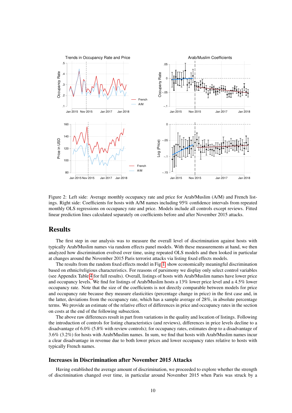

<span id="page-10-0"></span>Figure 2: Left side: Average monthly occupancy rate and price for Arab/Muslim (A/M) and French listings. Right side: Coefficients for hosts with A/M names including 95% confidence intervals from repeated monthly OLS regressions on occupancy rate and price. Models include all controls except reviews. Fitted linear prediction lines calculated separately on coefficients before and after November 2015 attacks.

#### Results

The first step in our analysis was to measure the overall level of discrimination against hosts with typically Arab/Muslim names via random effects panel models. With these measurements at hand, we then analyzed how discrimination evolved over time, using repeated OLS models and then looked in particular at changes around the November 2015 Paris terrorist attacks via listing fixed effects models.

The results from the random fixed effects model in Fig[.1,](#page-9-0) show economically meaningful discrimination based on ethnic/religious characteristics. For reasons of parsimony we display only select control variables (see Appendix Table [4](#page-27-0) for full results). Overall, listings of hosts with Arab/Muslim names have lower price and occupancy levels. We find for listings of Arab/Muslim hosts a 13% lower price level and a 4.5% lower occupancy rate. Note that the size of the coefficients is not directly comparable between models for price and occupancy rate because they measure elasticities (percentage change in price) in the first case and, in the latter, deviations from the occupancy rate, which has a sample average of 28%, in absolute percentage terms. We provide an estimate of the relative effect of differences in price and occupancy rates in the section on costs at the end of the following subsection.

The above raw differences result in part from variations in the quality and location of listings. Following the introduction of controls for listing characteristics (and reviews), differences in price levels decline to a disadvantage of 6.0% (5.8% with review controls); for occupancy rates, estimates drop to a disadvantage of 3.6% (3.2%) for hosts with Arab/Muslim names. In sum, we find that hosts with Arab/Muslim names incur a clear disadvantage in revenue due to both lower prices and lower occupancy rates relative to hosts with typically French names.

#### Increases in Discrimination after November 2015 Attacks

Having established the average amount of discrimination, we proceeded to explore whether the strength of discrimination changed over time, in particular around November 2015 when Paris was struck by a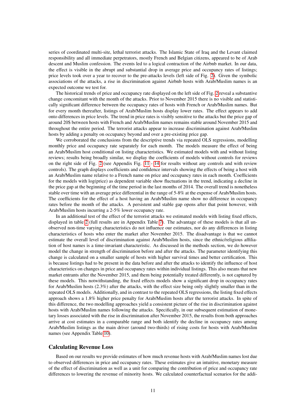series of coordinated multi-site, lethal terrorist attacks. The Islamic State of Iraq and the Levant claimed responsibility and all immediate perpetrators, mostly French and Belgian citizens, appeared to be of Arab descent and Muslim confession. The events led to a logical contraction of the Airbnb market. In our data, the effect is visible in the abrupt and substantial drop in average price and occupancy rates of listings; price levels took over a year to recover to the pre-attacks levels (left side of Fig. [2\)](#page-10-0). Given the symbolic associations of the attacks, a rise in discrimination against Airbnb hosts with Arab/Muslim names is an expected outcome we test for.

The historical trends of price and occupancy rate displayed on the left side of Fig. [2](#page-10-0) reveal a substantive change concomitant with the month of the attacks. Prior to November 2015 there is no visible and statistically significant difference between the occupancy rates of hosts with French or Arab/Muslim names. But for every month thereafter, listings of Arab/Muslim hosts display lower rates. The effect appears to add onto differences in price levels. The trend in price rates is visibly sensitive to the attacks but the price gap of around 20\$ between hosts with French and Arab/Muslim names remains stable around November 2015 and throughout the entire period. The terrorist attacks appear to increase discrimination against Arab/Muslim hosts by adding a penalty on occupancy beyond and over a pre-existing price gap.

We corroborated the conclusions from the descriptive trends via repeated OLS regressions, modelling monthly price and occupancy rate separately for each month. The models measure the effect of being an Arab/Muslim host conditional on listing characteristics. We estimated models with and without listing reviews; results being broadly similar, we display the coefficients of models without controls for reviews on the right side of Fig. [2](#page-10-0) (see Appendix Fig. [11](#page-30-0) - [14](#page-33-0) for results without any controls and with review controls). The graph displays coefficients and confidence intervals showing the effects of being a host with an Arab/Muslim name relative to a French name on price and occupancy rates in each month. Coefficients for the models with log(price) as dependent variable show fluctuations in the trend, indicating a decline in the price gap at the beginning of the time period in the last months of 2014. The overall trend is nonetheless stable over time with an average price differential in the range of 5-8% at the expense of Arab/Muslim hosts. The coefficients for the effect of a host having an Arab/Muslim name show no difference in occupancy rates before the month of the attacks. A persistent and stable gap opens after that point however, with Arab/Muslim hosts incurring a 2-5% lower occupancy rate.

In an additional test of the effect of the terrorist attacks we estimated models with listing fixed effects, displayed in table [2](#page-12-0) (full results are in Appendix Table [7\)](#page-37-0). The advantage of these models is that all unobserved non-time varying characteristics do not influence our estimates, nor do any differences in listing characteristics of hosts who enter the market after November 2015. The disadvantage is that we cannot estimate the overall level of discrimination against Arab/Muslim hosts, since the ethnic/religious affiliation of host names is a time-invariant characteristic. As discussed in the methods section, we do however model the change in strength of discrimination before and after the attacks. The parameter identifying this change is calculated on a smaller sample of hosts with higher survival times and better certification. This is because listings had to be present in the data before and after the attacks to identify the influence of host characteristics on changes in price and occupancy rates within individual listings. This also means that new market entrants after the November 2015, and them being potentially treated differently, is not captured by these models. This notwithstanding, the fixed effects models show a significant drop in occupancy rates for Arab/Muslim hosts (2.3%) after the attacks, with the effect size being only slightly smaller than in the repeated OLS models. Additionally, and in contrast to the repeated OLS regressions, the listing fixed effects approach shows a 1.8% higher price penalty for Arab/Muslim hosts after the terrorist attacks. In spite of this difference, the two modelling approaches yield a consistent picture of the rise in discrimination against hosts with Arab/Muslim names following the attacks. Specifically, in our subsequent estimation of monetary losses associated with the rise in discrimination after November 2015, the results from both approaches arrive at cost estimates in a comparable range and both identify the decline in occupancy rates among Arab/Muslim listings as the main driver (around two-thirds) of rising costs for hosts with Arab/Muslim names (see Appendix Table [10\)](#page-40-0).

#### Calculating Revenue Loss

Based on our results we provide estimates of how much revenue hosts with Arab/Muslim names lost due to observed differences in price and occupancy rates. These estimates give an intuitive, monetary measure of the effect of discrimination as well as a unit for comparing the contribution of price and occupancy rate differences to lowering the revenue of minority hosts. We calculated counterfactual scenarios for the addi-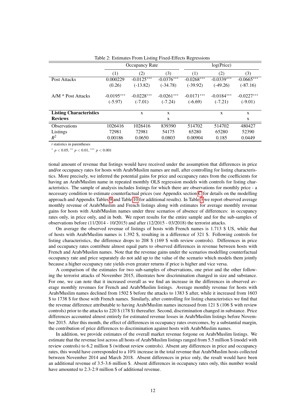|                                |              | Occupancy Rate |              |              | log(Price)   |              |
|--------------------------------|--------------|----------------|--------------|--------------|--------------|--------------|
|                                | (1)          | (2)            | (3)          | (1)          | (2)          | (3)          |
| Post Attacks                   | 0.000229     | $-0.0125***$   | $-0.0376***$ | $-0.0268***$ | $-0.0339***$ | $-0.0665***$ |
|                                | (0.26)       | $(-13.82)$     | $(-34.78)$   | $(-39.92)$   | $(-49.26)$   | $(-87.16)$   |
| $A/M * Post Attacks$           | $-0.0195***$ | $-0.0228***$   | $-0.0261***$ | $-0.0171***$ | $-0.0184***$ | $-0.0227***$ |
|                                | $(-5.97)$    | $(-7.01)$      | $(-7.24)$    | $(-6.69)$    | $(-7.21)$    | $(-9.01)$    |
| <b>Listing Characteristics</b> |              | X              | X            |              | X            | $\mathbf{x}$ |
| <b>Reviews</b>                 |              |                | X            |              |              | X            |
| <b>Observations</b>            | 1026416      | 1026416        | 839390       | 514702       | 514702       | 480427       |
| Listings                       | 72981        | 72981          | 54175        | 65280        | 65280        | 52390        |
| $R^2$                          | 0.00186      | 0.0650         | 0.0803       | 0.00904      | 0.185        | 0.0449       |

<span id="page-12-0"></span>Table 2: Estimates From Listing Fixed-Effects Regressions

*t* statistics in parentheses

<sup>∗</sup> *p* < 0.05, ∗∗ *p* < 0.01, ∗∗∗ *p* < 0.001

tional amount of revenue that listings would have received under the assumption that differences in price and/or occupancy rates for hosts with Arab/Muslim names are null, after controlling for listing characteristics. More precisely, we inferred the potential gains for price and occupancy rates from the coefficients for having an Arab/Muslim name in repeated monthly OLS regression models with controls for listing characteristics. The sample of analysis includes listings for which there are observations for monthly price - a necessary condition to estimate counterfactual prices (see Appendix section [C](#page-18-0) for details on the modelling approach and Appendix Tables [9](#page-39-0) and Table [10](#page-40-0) for additional results). In Table [3](#page-13-0) we report observed average monthly revenue of Arab/Muslim and French listings along with estimates for average monthly revenue gains for hosts with Arab/Muslim names under three scenarios of absence of differences: in occupancy rates only, in price only, and in both. We report results for the entire sample and for the sub-samples of observations before  $(11/2014 - 10/2015)$  and after  $(12/2015 - 03/2018)$  the terrorist attacks.

On average the observed revenue of listings of hosts with French names is 1.713 \$ US, while that of hosts with Arab/Muslim names is 1.392 \$, resulting in a difference of 321 \$. Following controls for listing characteristics, the difference drops to 208 \$ (169 \$ with review controls). Differences in price and occupancy rates contribute almost equal parts to observed differences in revenue between hosts with French and Arab/Muslim names. Note that the revenue gains under the scenarios modelling counterfactual occupancy rate and price separately do not add up to the value of the scenario which models them jointly because a higher occupancy rate yields even greater returns if price is higher and vice versa.

A comparison of the estimates for two sub-samples of observations, one prior and the other following the terrorist attacks of November 2015, illustrates how discrimination changed in size and substance. For one, we can note that it increased overall as we find an increase in the differences in observed average monthly revenues for French and Arab/Muslim listings. Average monthly revenue for hosts with Arab/Muslim names declined from 1502 \$ before the attacks to 1383 \$ after, while it increased from 1603 \$ to 1738 \$ for those with French names. Similarly, after controlling for listing characteristics we find that the revenue difference attributable to having Arab/Muslim names increased from 121 \$ (106 \$ with review controls) prior to the attacks to 220 \$ (178 \$) thereafter. Second, discrimination changed in substance. Price differences accounted almost entirely for estimated revenue losses in Arab/Muslim listings before November 2015. After this month, the effect of differences in occupancy rates overcomes, by a substantial margin, the contribution of price differences to discrimination against hosts with Arab/Muslim names.

In addition, we provide estimates of the overall market revenue forgone on Arab/Muslim listings. We estimate that the revenue lost across all hosts of Arab/Muslim listings ranged from 5.5 million \$ (model with review controls) to 6.2 million \$ (without review controls). Absent any differences in price and occupancy rates, this would have corresponded to a 10% increase in the total revenue that Arab/Muslim hosts collected between November 2014 and March 2018. Absent differences in price only, the result would have been an additional revenue of 3.5-3.6 million \$. Absent differences in occupancy rates only, this number would have amounted to 2.3-2.9 million \$ of additional revenue.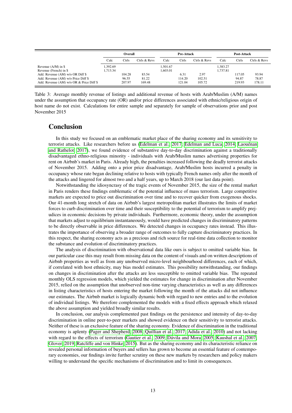|                                                                                                                     |                      | Overall                   |                          |                      | <b>Pre-Attack</b>        |                          |                      | Post-Attack               |                          |
|---------------------------------------------------------------------------------------------------------------------|----------------------|---------------------------|--------------------------|----------------------|--------------------------|--------------------------|----------------------|---------------------------|--------------------------|
|                                                                                                                     | Calc                 | Ctrls                     | Ctrls & Revs             | Calc                 | Ctrls                    | Ctrls & Revs             | Calc                 | Ctrls                     | Ctrls & Revs             |
| Revenue $(A/M)$ in \$<br>Revenue (French) in \$                                                                     | 1.392.69<br>1.713.34 |                           |                          | 1.501.67<br>1.603.01 |                          |                          | 1.383.27<br>1.737.81 |                           |                          |
| Add. Revenue (AM) w/o OR Diff \$<br>Add. Revenue (AM) w/o Price Diff \$<br>Add. Revenue (AM) w/o OR & Price Diff \$ |                      | 104.28<br>96.55<br>207.97 | 83.54<br>81.22<br>169.48 |                      | 6.31<br>114.20<br>121.04 | 2.97<br>102.51<br>105.72 |                      | 117.05<br>94.87<br>219.93 | 93.94<br>78.87<br>178.11 |

<span id="page-13-0"></span>Table 3: Average monthly revenue of listings and additional revenue of hosts with Arab/Muslim (A/M) names under the assumption that occupancy rate (OR) and/or price differences associated with ethnic/religious origin of host name do not exist. Calculations for entire sample and separately for sample of observations prior and post November 2015

#### **Conclusion**

In this study we focused on an emblematic market place of the sharing economy and its sensitivity to terrorist attacks. Like researchers before us [\(Edelman et al., 2017;](#page-14-18) [Edelman and Luca, 2014;](#page-14-9) [Laouénan](#page-15-13) [and Rathelot, 2017\)](#page-15-13), we found evidence of substantive day-to-day discrimination against a traditionally disadvantaged ethno-religious minority - individuals with Arab/Muslim names advertising properties for rent on Airbnb's market in Paris. Already high, the penalties increased following the deadly terrorist attacks of November 2015. Adding onto a prior price disadvantage, Arab/Muslim hosts incurred a penalty in occupancy whose rate began declining relative to hosts with typically French names only after the month of the attacks and lingered for almost two and a half years, up to March 2018 (our last data point).

Notwithstanding the idiosyncrasy of the tragic events of November 2015, the size of the rental market in Paris renders these findings emblematic of the potential influence of mass terrorism. Large competitive markets are expected to price out discrimination over time and to recover quicker from exogenous shocks. Our 41-month long stretch of data on Airbnb's largest metropolitan market illustrates the limits of market forces to curb discrimination over time and their susceptibility to the potential of terrorism to amplify prejudices in economic decisions by private individuals. Furthermore, economic theory, under the assumption that markets adjust to equilibrium instantaneously, would have predicted changes in discriminatory patterns to be directly observable in price differences. We detected changes in occupancy rates instead. This illustrates the importance of observing a broader range of outcomes to fully capture discriminatory practices. In this respect, the sharing economy acts as a precious and rich source for real-time data collection to monitor the substance and evolution of discriminatory practices.

The analysis of discrimination with observational data like ours is subject to omitted variable bias. In our particular case this may result from missing data on the content of visuals and on written descriptions of Airbnb properties as well as from any unobserved micro-level neighbourhood differences, each of which, if correlated with host ethnicity, may bias model estimates. This possibility notwithstanding, our findings on changes in discrimination after the attacks are less susceptible to omitted variable bias. The repeated monthly OLS regression models, which yielded the estimates for change in discrimination after November 2015, relied on the assumption that unobserved non-time varying characteristics as well as any differences in listing characteristics of hosts entering the market following the month of the attacks did not influence our estimates. The Airbnb market is logically dynamic both with regard to new entries and to the evolution of individual listings. We therefore complemented the models with a fixed effects approach which relaxed the above assumption and yielded broadly similar results.

In conclusion, our analysis complemented past findings on the persistence and intensity of day-to-day discrimination in online peer-to-peer markets and showed evidence on their sensitivity to terrorist attacks. Neither of these is an exclusive feature of the sharing economy. Evidence of discrimination in the traditional economy is aplenty [\(Pager and Shepherd, 2008;](#page-15-5) [Quillian et al., 2017;](#page-16-4) [Adida et al., 2010\)](#page-14-19) and not lacking with regard to the effects of terrorism [\(Gautier et al., 2009;](#page-15-2) [Dávila and Mora, 2005;](#page-14-3) [Kaushal et al., 2007;](#page-15-3) [Glover, 2019;](#page-15-4) [Ratcliffe and von Hinke, 2015\)](#page-16-1). But as the sharing economy and its characteristic reliance on revealed personal information of buyers and sellers has grown to become an essential feature of contemporary economies, our findings invite further scrutiny on these new markets by researchers and policy makers willing to understand the specific mechanisms of discrimination and to limit its consequences.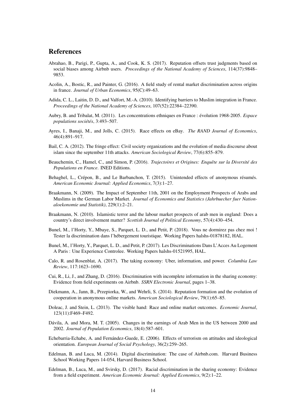### References

- <span id="page-14-5"></span>Abrahao, B., Parigi, P., Gupta, A., and Cook, K. S. (2017). Reputation offsets trust judgments based on social biases among Airbnb users. *Proceedings of the National Academy of Sciences*, 114(37):9848– 9853.
- <span id="page-14-11"></span>Acolin, A., Bostic, R., and Painter, G. (2016). A field study of rental market discrimination across origins in france. *Journal of Urban Economics*, 95(C):49–63.
- <span id="page-14-19"></span>Adida, C. L., Laitin, D. D., and Valfort, M.-A. (2010). Identifying barriers to Muslim integration in France. *Proceedings of the National Academy of Sciences*, 107(52):22384–22390.
- <span id="page-14-16"></span>Aubry, B. and Tribalat, M. (2011). Les concentrations ethniques en France : évolution 1968-2005. *Espace populations sociétés*, 3:493–507.
- <span id="page-14-7"></span>Ayres, I., Banaji, M., and Jolls, C. (2015). Race effects on eBay. *The RAND Journal of Economics*, 46(4):891–917.
- <span id="page-14-0"></span>Bail, C. A. (2012). The fringe effect: Civil society organizations and the evolution of media discourse about islam since the september 11th attacks. *American Sociological Review*, 77(6):855–879.
- <span id="page-14-15"></span>Beauchemin, C., Hamel, C., and Simon, P. (2016). *Trajectoires et Origines: Enquête sur la Diversité des Populations en France*. INED Editions.
- <span id="page-14-17"></span>Behaghel, L., Crépon, B., and Le Barbanchon, T. (2015). Unintended effects of anonymous résumés. *American Economic Journal: Applied Economics*, 7(3):1–27.
- <span id="page-14-14"></span>Braakmann, N. (2009). The Impact of September 11th, 2001 on the Employment Prospects of Arabs and Muslims in the German Labor Market. *Journal of Economics and Statistics (Jahrbuecher fuer Nationaloekonomie und Statistik)*, 229(1):2–21.
- <span id="page-14-2"></span>Braakmann, N. (2010). Islamistic terror and the labour market prospects of arab men in england: Does a country's direct involvement matter? *Scottish Journal of Political Economy*, 57(4):430–454.
- <span id="page-14-13"></span>Bunel, M., l'Horty, Y., Mbaye, S., Parquet, L. D., and Petit, P. (2018). Vous ne dormirez pas chez moi ! Tester la discrimination dans l'hébergement touristique. Working Papers halshs-01878182, HAL.
- <span id="page-14-12"></span>Bunel, M., l'Horty, Y., Parquet, L. D., and Petit, P. (2017). Les Discriminations Dans L'Acces Au Logement A Paris : Une Experience Controlee. Working Papers halshs-01521995, HAL.
- <span id="page-14-8"></span>Calo, R. and Rosenblat, A. (2017). The taking economy: Uber, information, and power. *Columbia Law Review*, 117:1623–1690.
- <span id="page-14-10"></span>Cui, R., Li, J., and Zhang, D. (2016). Discrimination with incomplete information in the sharing economy: Evidence from field experiments on Airbnb. *SSRN Electronic Journal*, pages 1–38.
- <span id="page-14-4"></span>Diekmann, A., Jann, B., Przepiorka, W., and Wehrli, S. (2014). Reputation formation and the evolution of cooperation in anonymous online markets. *American Sociological Review*, 79(1):65–85.
- <span id="page-14-6"></span>Doleac, J. and Stein, L. (2013). The visible hand: Race and online market outcomes. *Economic Journal*, 123(11):F469–F492.
- <span id="page-14-3"></span>Dávila, A. and Mora, M. T. (2005). Changes in the earnings of Arab Men in the US between 2000 and 2002. *Journal of Population Economics*, 18(4):587–601.
- <span id="page-14-1"></span>Echebarria-Echabe, A. and Fernández-Guede, E. (2006). Effects of terrorism on attitudes and ideological orientation. *European Journal of Social Psychology*, 36(2):259–265.
- <span id="page-14-9"></span>Edelman, B. and Luca, M. (2014). Digital discrimination: The case of Airbnb.com. Harvard Business School Working Papers 14-054, Harvard Business School.
- <span id="page-14-18"></span>Edelman, B., Luca, M., and Svirsky, D. (2017). Racial discrimination in the sharing economy: Evidence from a field experiment. *American Economic Journal: Applied Economics*, 9(2):1–22.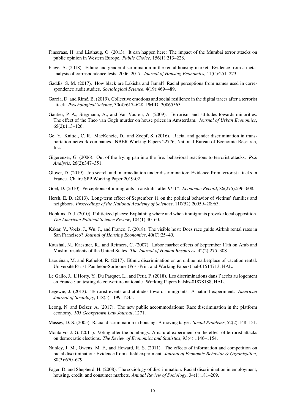- <span id="page-15-1"></span>Finseraas, H. and Listhaug, O. (2013). It can happen here: The impact of the Mumbai terror attacks on public opinion in Western Europe. *Public Choice*, 156(1):213–228.
- <span id="page-15-11"></span>Flage, A. (2018). Ethnic and gender discrimination in the rental housing market: Evidence from a metaanalysis of correspondence tests, 2006–2017. *Journal of Housing Economics*, 41(C):251–273.
- <span id="page-15-14"></span>Gaddis, S. M. (2017). How black are Lakisha and Jamal? Racial perceptions from names used in correspondence audit studies. *Sociological Science*, 4(19):469–489.
- <span id="page-15-19"></span>Garcia, D. and Rimé, B. (2019). Collective emotions and social resilience in the digital traces after a terrorist attack. *Psychological Science*, 30(4):617–628. PMID: 30865565.
- <span id="page-15-2"></span>Gautier, P. A., Siegmann, A., and Van Vuuren, A. (2009). Terrorism and attitudes towards minorities: The effect of the Theo van Gogh murder on house prices in Amsterdam. *Journal of Urban Economics*, 65(2):113–126.
- <span id="page-15-8"></span>Ge, Y., Knittel, C. R., MacKenzie, D., and Zoepf, S. (2016). Racial and gender discrimination in transportation network companies. NBER Working Papers 22776, National Bureau of Economic Research, Inc.
- <span id="page-15-18"></span>Gigerenzer, G. (2006). Out of the frying pan into the fire: behavioral reactions to terrorist attacks. *Risk Analysis*, 26(2):347–351.
- <span id="page-15-4"></span>Glover, D. (2019). Job search and intermediation under discrimination: Evidence from terrorist attacks in France. Chaire SPP Working Paper 2019-02.
- <span id="page-15-20"></span>Goel, D. (2010). Perceptions of immigrants in australia after 9/11\*. *Economic Record*, 86(275):596–608.
- <span id="page-15-15"></span>Hersh, E. D. (2013). Long-term effect of September 11 on the political behavior of victims' families and neighbors. *Proceedings of the National Academy of Sciences*, 110(52):20959–20963.
- <span id="page-15-17"></span>Hopkins, D. J. (2010). Politicized places: Explaining where and when immigrants provoke local opposition. *The American Political Science Review*, 104(1):40–60.
- <span id="page-15-9"></span>Kakar, V., Voelz, J., Wu, J., and Franco, J. (2018). The visible host: Does race guide Airbnb rental rates in San Francisco? *Journal of Housing Economics*, 40(C):25–40.
- <span id="page-15-3"></span>Kaushal, N., Kaestner, R., and Reimers, C. (2007). Labor market effects of September 11th on Arab and Muslim residents of the United States. *The Journal of Human Resources*, 42(2):275–308.
- <span id="page-15-13"></span>Laouénan, M. and Rathelot, R. (2017). Ethnic discrimination on an online marketplace of vacation rental. Université Paris1 Panthéon-Sorbonne (Post-Print and Working Papers) hal-01514713, HAL.
- <span id="page-15-12"></span>Le Gallo, J., L'Horty, Y., Du Parquet, L., and Petit, P. (2018). Les discriminations dans l'accès au logement en France : un testing de couverture nationale. Working Papers halshs-01878188, HAL.
- <span id="page-15-0"></span>Legewie, J. (2013). Terrorist events and attitudes toward immigrants: A natural experiment. *American Journal of Sociology*, 118(5):1199–1245.
- <span id="page-15-7"></span>Leong, N. and Belzer, A. (2017). The new public accommodations: Race discrimination in the platform economy. *105 Georgetown Law Journal*, 1271.
- <span id="page-15-10"></span>Massey, D. S. (2005). Racial discrimination in housing: A moving target. *Social Problems*, 52(2):148–151.
- <span id="page-15-16"></span>Montalvo, J. G. (2011). Voting after the bombings: A natural experiment on the effect of terrorist attacks on democratic elections. *The Review of Economics and Statistics*, 93(4):1146–1154.
- <span id="page-15-6"></span>Nunley, J. M., Owens, M. F., and Howard, R. S. (2011). The effects of information and competition on racial discrimination: Evidence from a field experiment. *Journal of Economic Behavior & Organization*, 80(3):670–679.
- <span id="page-15-5"></span>Pager, D. and Shepherd, H. (2008). The sociology of discrimination: Racial discrimination in employment, housing, credit, and consumer markets. *Annual Review of Sociology*, 34(1):181–209.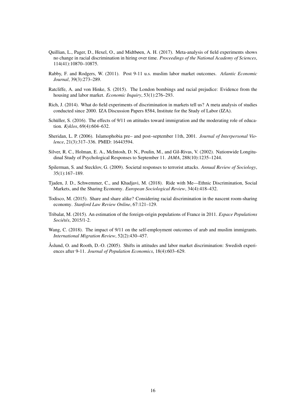- <span id="page-16-4"></span>Quillian, L., Pager, D., Hexel, O., and Midtbøen, A. H. (2017). Meta-analysis of field experiments shows no change in racial discrimination in hiring over time. *Proceedings of the National Academy of Sciences*, 114(41):10870–10875.
- <span id="page-16-2"></span>Rabby, F. and Rodgers, W. (2011). Post 9-11 u.s. muslim labor market outcomes. *Atlantic Economic Journal*, 39(3):273–289.
- <span id="page-16-1"></span>Ratcliffe, A. and von Hinke, S. (2015). The London bombings and racial prejudice: Evidence from the housing and labor market. *Economic Inquiry*, 53(1):276–293.
- <span id="page-16-3"></span>Rich, J. (2014). What do field experiments of discrimination in markets tell us? A meta analysis of studies conducted since 2000. IZA Discussion Papers 8584, Institute for the Study of Labor (IZA).
- <span id="page-16-9"></span>Schüller, S. (2016). The effects of 9/11 on attitudes toward immigration and the moderating role of education. *Kyklos*, 69(4):604–632.
- <span id="page-16-8"></span>Sheridan, L. P. (2006). Islamophobia pre– and post–september 11th, 2001. *Journal of Interpersonal Violence*, 21(3):317–336. PMID: 16443594.
- <span id="page-16-10"></span>Silver, R. C., Holman, E. A., McIntosh, D. N., Poulin, M., and Gil-Rivas, V. (2002). Nationwide Longitudinal Study of Psychological Responses to September 11. *JAMA*, 288(10):1235–1244.
- <span id="page-16-0"></span>Spilerman, S. and Stecklov, G. (2009). Societal responses to terrorist attacks. *Annual Review of Sociology*, 35(1):167–189.
- <span id="page-16-6"></span>Tjaden, J. D., Schwemmer, C., and Khadjavi, M. (2018). Ride with Me—Ethnic Discrimination, Social Markets, and the Sharing Economy. *European Sociological Review*, 34(4):418–432.
- <span id="page-16-5"></span>Todisco, M. (2015). Share and share alike? Considering racial discrimination in the nascent room-sharing economy. *Stanford Law Review Online*, 67:121–129.
- <span id="page-16-12"></span>Tribalat, M. (2015). An estimation of the foreign-origin populations of France in 2011. *Espace Populations Sociétés*, 2015/1-2.
- <span id="page-16-11"></span>Wang, C. (2018). The impact of 9/11 on the self-employment outcomes of arab and muslim immigrants. *International Migration Review*, 52(2):430–457.
- <span id="page-16-7"></span>Åslund, O. and Rooth, D.-O. (2005). Shifts in attitudes and labor market discrimination: Swedish experiences after 9-11. *Journal of Population Economics*, 18(4):603–629.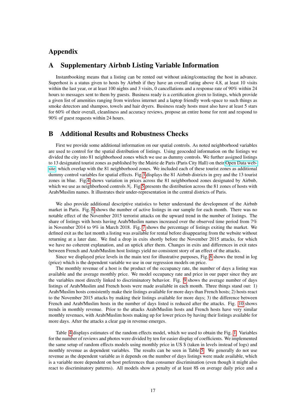## Appendix

#### A Supplementary Airbnb Listing Variable Information

Instantbooking means that a listing can be rented out without asking/contacting the host in advance. Superhost is a status given to hosts by Airbnb if they have an overall rating above 4.8, at least 10 visits within the last year, or at least 100 nights and 3 visits, 0 cancellations and a response rate of 90% within 24 hours to messages sent to them by guests. Business ready is a certification given to listings, which provide a given list of amenities ranging from wireless internet and a laptop friendly work-space to such things as smoke detectors and shampoo, towels and hair dryers. Business ready hosts must also have at least 5 stars for 60% of their overall, cleanliness and accuracy reviews, propose an entire home for rent and respond to 90% of guest requests within 24 hours.

#### B Additional Results and Robustness Checks

First we provide some additional information on our spatial controls. As noted neighborhood variables are used to control for the spatial distribution of listings. Using geocoded information on the listings we divided the city into 81 neighborhood zones which we use as dummy controls. We further assigned listings to 13 designated tourist zones as published by the Mairie de Paris (Paris City Hall) on their [Open Data web](https://opendata.paris.fr/explore/?sort=modified)[site,](https://opendata.paris.fr/explore/?sort=modified) which overlap with the 81 neighborhood zones. We included each of these tourist zones as additional dummy control variables for spatial effects. Fig[.3](#page-20-0) displays the 81 Airbnb districts in grey and the 13 tourist zones in blue. Fig[.4](#page-21-0) shows variation in prices across the 81 neighborhood zones designated by Airbnb, which we use as neighborhood controls  $N_i$ . Fig[.5](#page-22-0) presents the distribution across the 81 zones of hosts with Arab/Muslim names. It illustrates their under-representation in the central districts of Paris.

We also provide additional descriptive statistics to better understand the development of the Airbnb market in Paris. Fig. [6](#page-22-1) shows the number of active listings in our sample for each month. There was no notable effect of the November 2015 terrorist attacks on the upward trend in the number of listings. The share of listings with hosts having Arab/Muslim names increased over the observed time period from 7% in November 2014 to 9% in March 2018. Fig. [7](#page-23-0) shows the percentage of listings exiting the market. We defined exit as the last month a listing was available for rental before disappearing from the website without returning at a later date. We find a drop in exits shortly before the November 2015 attacks, for which we have no coherent explanation, and an uptick after them. Changes in exits and differences in exit rates between French and Arab/Muslim host listings yield no consistent story of an effect of the attacks.

Since we displayed price levels in the main text for illustrative purposes, Fig. [8](#page-24-0) shows the trend in log (price) which is the dependent variable we use in our regression models on price.

The monthly revenue of a host is the product of the occupancy rate, the number of days a listing was available and the average monthly price. We model occupancy rate and price in our paper since they are the variables most directly linked to discriminatory behavior. Fig. [9](#page-25-0) shows the average number of days listings of Arab/Muslim and French hosts were made available in each month. Three things stand out: 1) Arab/Muslim hosts consistently make their listings available for more days than French hosts; 2) hosts react to the November 2015 attacks by making their listings available for more days; 3) the difference between French and Arab/Muslim hosts in the number of days listed is reduced after the attacks. Fig. [10](#page-26-0) shows trends in monthly revenue. Prior to the attacks Arab/Muslim hosts and French hosts have very similar monthly revenues, with Arab/Muslim hosts making up for lower prices by having their listings available for more days. After the attacks a clear gap in revenue emerges.

Table [4](#page-27-0) displays estimates of the random effects model, which we used to obtain the Fig. [1.](#page-9-0) Variables for the number of reviews and photos were divided by ten for easier display of coefficients. We implemented the same setup of random effects models using monthly price in US \$ (taken in levels instead of logs) and monthly revenue as dependent variables. The results can be seen in Table [5.](#page-28-0) We generally do not use revenue as the dependent variable as it depends on the number of days listings were made available, which is a variable more dependent on host preferences than consumer discrimination (even though it might also react to discriminatory patterns). All models show a penalty of at least 8\$ on average daily price and a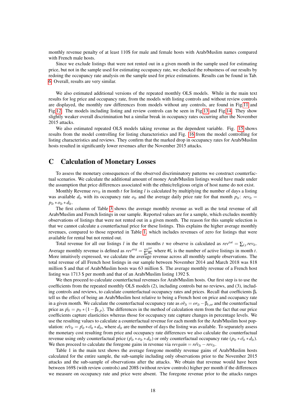monthly revenue penalty of at least 110\$ for male and female hosts with Arab/Muslim names compared with French male hosts.

Since we exclude listings that were not rented out in a given month in the sample used for estimating price, but not in the sample used for estimating occupancy rate, we checked the robustness of our results by redoing the occupancy rate analysis on the sample used for price estimations. Results can be found in Tab. [6.](#page-29-0) Overall, results are very similar.

We also estimated additional versions of the repeated monthly OLS models. While in the main text results for log price and occupancy rate, from the models with listing controls and without review controls are displayed, the monthly raw differences from models without any controls, are found in Fig[.11](#page-30-0) and Fig[.12.](#page-31-0) The models including listing and review controls can be seen in Fig[.13](#page-32-0) and Fig[.14.](#page-33-0) They show slightly weaker overall discrimination but a similar break in occupancy rates occurring after the November 2015 attacks.

We also estimated repeated OLS models taking revenue as the dependent variable. Fig. [15](#page-34-0) shows results from the model controlling for listing characteristics and Fig. [16](#page-35-0) from the model controlling for listing characteristics and reviews. They confirm that the marked drop in occupancy rates for Arab/Muslim hosts resulted in significantly lower revenues after the November 2015 attacks.

### <span id="page-18-0"></span>C Calculation of Monetary Losses

To assess the monetary consequences of the observed discriminatory patterns we construct counterfactual scenarios. We calculate the additional amount of money Arab/Muslim listings would have made under the assumption that price differences associated with the ethnic/religious origin of host name do not exist.

Monthly Revenue  $rev_{lt}$  in month *t* for listing *l* is calculated by multiplying the number of days a listing was available  $d_l$  with its occupancy rate  $o_l$  and the average daily price rate for that month  $p_l$ :  $rev_l$  =  $p_{lt} * o_{lt} * d_{lt}.$ 

The first column of Table [3](#page-13-0) shows the average monthly revenue as well as the total revenue of all Arab/Muslim and French listings in our sample. Reported values are for a sample, which excludes monthly observations of listings that were not rented out in a given month. The reason for this sample selection is that we cannot calculate a counterfactual price for these listings. This explains the higher average monthly revenues, compared to those reported in Table [1,](#page-6-0) which includes revenues of zero for listings that were available for rental but not rented out.

Total revenue for all our listings *l* in the 41 months *t* we observe is calculated as  $rev^{tot} = \sum_{l,t} rev_{lt}$ . Average monthly revenue is defined as  $rev^{avg} = \frac{rev^{tot}}{\sum_{x} w_i}$  $\frac{rev^{tot}}{\sum_t #l_t}$  where  $#l_t$  is the number of active listings in month *t*. More intuitively expressed, we calculate the average revenue across all monthly sample observations. The total revenue of all French host listings in our sample between November 2014 and March 2018 was 818 million \$ and that of Arab/Muslim hosts was 63 million \$. The average monthly revenue of a French host listing was 1713 \$ per month and that of an Arab/Muslim listing 1392 \$.

We then proceed to calculate counterfactual revenues for Arab/Muslim hosts. Our first step is to use the coefficients from the repeated monthly OLS models (2), including controls but no reviews, and (3), including controls and reviews, to calculate counterfactual occupancy rates and prices. Recall that coefficients  $\beta_t$ tell us the effect of being an Arab/Muslim host relative to being a French host on price and occupancy rate in a given month. We calculate the counterfactual occupancy rate as  $\tilde{or}_{lt} = or_{lt} - \beta_{t,or}$  and the counterfactual price as  $\tilde{p}_l = p_{lt} * (1 - \beta_{t,p})$ . The differences in the method of calculation stem from the fact that our price coefficients capture elasticities whereas those for occupancy rate capture changes in percentage levels. We use the resulting values to calculate a counterfactual revenue for each month for the Arab/Muslim host population:  $r \epsilon \tilde{\nu}_{lt} = \tilde{p}_{lt} * \tilde{\nu}_{lt} * d_{lt}$ , where  $d_{lt}$  are the number of days the listing was available. To separately assess the monetary cost resulting from price and occupancy rate differences we also calculate the counterfactual revenue using only counterfactual price  $(\tilde{p}_l t * o_l t * d_l t)$  or only counterfactual occupancy rate  $(p_l t * \tilde{o_l} t * d_l t)$ . We then proceed to calculate the foregone gains in revenue via  $revgain = r\tilde{ev}_{lt} - rev_{lt}$ .

Table 1 in the main text shows the average foregone monthly revenue gains of Arab/Muslim hosts calculated for the entire sample, the sub-sample including only observations prior to the November 2015 attacks and the sub-sample of observations after the attacks. We obtain that revenue would have been between 169\$ (with review controls) and 208\$ (without review controls) higher per month if the differences we measure on occupancy rate and price were absent. The foregone revenue prior to the attacks ranges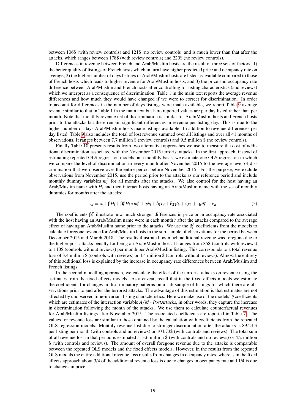between 106\$ (with review controls) and 121\$ (no review controls) and is much lower than that after the attacks, which ranges between 178\$ (with review controls) and 220\$ (no review controls).

Differences in revenue between French and Arab/Muslim hosts are the result of three sets of factors: 1) the better quality of listings of French hosts which in turn have higher predicted price and occupancy rate on average; 2) the higher number of days listings of Arab/Muslim hosts are listed as available compared to those of French hosts which leads to higher revenue for Arab/Muslim hosts; and 3) the price and occupancy rate difference between Arab/Muslim and French hosts after controlling for listing characteristics (and reviews) which we interpret as a consequence of discrimination. Table 1 in the main text reports the average revenue differences and how much they would have changed if we were to correct for discrimination. In order to account for differences in the number of days listings were made available, we report Table [9](#page-39-0) average revenue similar to that in Table 1 in the main text but here reported values are per day listed rather than per month. Note that monthly revenue net of discrimination is similar for Arab/Muslim hosts and French hosts prior to the attacks but there remain significant differences in revenue per listing day. This is due to the higher number of days Arab/Muslim hosts made listings available. In addition to revenue differences per day listed, Table [9](#page-39-0) also includes the total of lost revenue summed over all listings and over all 41 months of observations. It ranges between 7.7 million \$ (review controls) and 9.5 million \$ (no review controls).

Finally Table [10](#page-40-0) presents results from two alternative approaches we use to measure the cost of additional discrimination associated with the November 2015 terrorist attacks. In the first approach, instead of estimating repeated OLS regression models on a monthly basis, we estimate one OLS regression in which we compare the level of discrimination in every month after November 2015 to the average level of discrimination that we observe over the entire period before November 2015. For the purpose, we exclude observations from November 2015, use the period prior to the attacks as our reference period and include monthly dummy variables  $m_t^p$  for all months after the attacks. We also control for the host having an Arab/Muslim name with  $H_i$  and then interact hosts having an Arab/Muslim name with the set of monthly dummies for months after the attacks:

$$
y_{it} = \alpha + \beta H_i + \beta_t^p H_i * m_t^p + \gamma N_i + \delta_1 L_i + \delta_2 \gamma l_{it} + \zeta r_{it} + \eta_t d_t^p + \nu_{it}
$$
\n<sup>(5)</sup>

The coefficients  $\beta_t^p$  illustrate how much stronger differences in price or in occupancy rate associated with the host having an Arab/Muslim name were in each month *t* after the attacks compared to the average effect of having an Arab/Muslim name prior to the attacks. We use the  $\beta_t^p$  coefficients from the models to calculate foregone revenue for Arab/Muslim hosts in the sub-sample of observations for the period between December 2015 and March 2018. The results illustrate how much additional revenue was foregone due to the higher post-attacks penalty for being an Arab/Muslim host. It ranges from 85\$ (controls with reviews) to 110\$ (controls without reviews) per month per Arab/Muslim listing. This corresponds to a total revenue loss of 3.4 million \$ (controls with reviews) or 4.4 million \$ (controls without reviews). Almost the entirety of this additional loss is explained by the increase in occupancy rate differences between Arab/Muslim and French listings.

In the second modelling approach, we calculate the effect of the terrorist attacks on revenue using the estimates from the fixed effects models. As a caveat, recall that in the fixed effects models we estimate the coefficients for changes in discriminatory patterns on a sub-sample of listings for which there are observations prior to and after the terrorist attacks. The advantage of this estimation is that estimates are not affected by unobserved time-invariant listing characteristics. Here we make use of the models' γ coefficients which are estimates of the interaction variable *A*/*M* ∗*PostAttacks*, in other words, they capture the increase in discrimination following the month of the attacks. We use them to calculate counterfactual revenues for Arab/Muslim listings after November 2015. The associated coefficients are reported in Table [7.](#page-37-0) The values for revenue loss are similar to those obtained by the calculation with coefficients from the repeated OLS regression models. Monthly revenue lost due to stronger discrimination after the attacks is 89.24 \$ per listing per month (with controls and no reviews) or 104.73\$ (with controls and reviews). The total sum of all revenue lost in that period is estimated at 3.6 million \$ (with controls and no reviews) or 4.2 million \$ (with controls and reviews). The amount of overall foregone revenue due to the attacks is comparable between the repeated OLS models and the fixed effects models. However, in the results from the repeated OLS models the entire additional revenue loss results from changes in occupancy rates, whereas in the fixed effects approach about 3/4 of the additional revenue loss is due to changes in occupancy rate and 1/4 is due to changes in price.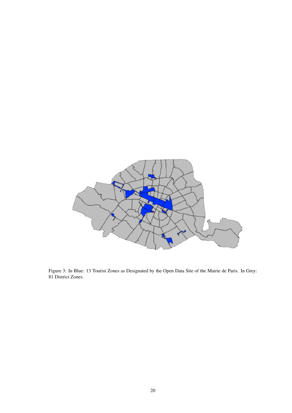

<span id="page-20-0"></span>Figure 3: In Blue: 13 Tourist Zones as Designated by the Open Data Site of the Mairie de Paris. In Grey: 81 District Zones.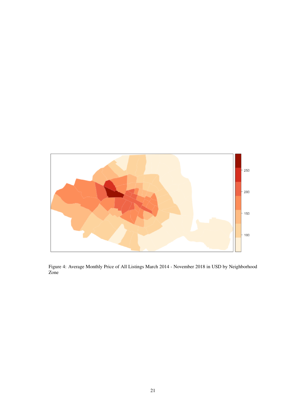<span id="page-21-0"></span>

Figure 4: Average Monthly Price of All Listings March 2014 - November 2018 in USD by Neighborhood Zone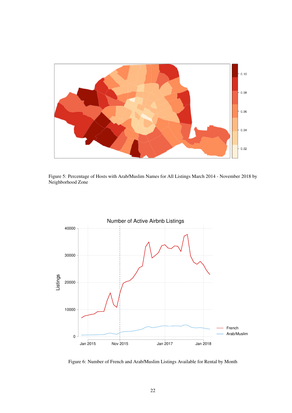

Figure 5: Percentage of Hosts with Arab/Muslim Names for All Listings March 2014 - November 2018 by Neighborhood Zone

<span id="page-22-0"></span>

<span id="page-22-1"></span>Figure 6: Number of French and Arab/Muslim Listings Available for Rental by Month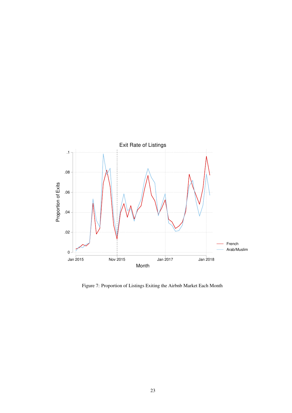

<span id="page-23-0"></span>Figure 7: Proportion of Listings Exiting the Airbnb Market Each Month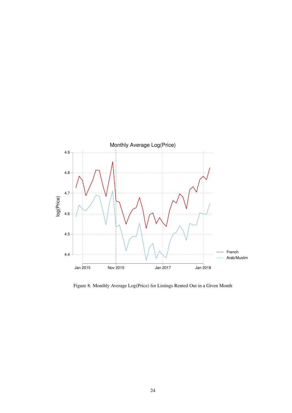

<span id="page-24-0"></span>Figure 8: Monthly Average Log(Price) for Listings Rented Out in a Given Month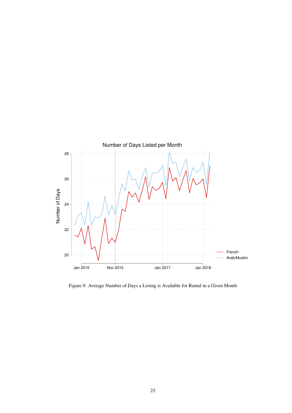

<span id="page-25-0"></span>Figure 9: Average Number of Days a Listing is Available for Rental in a Given Month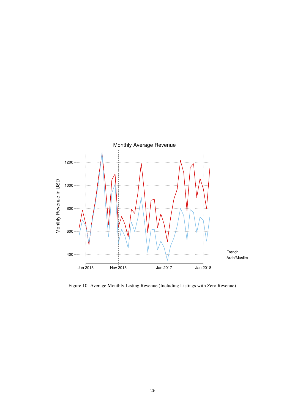

<span id="page-26-0"></span>Figure 10: Average Monthly Listing Revenue (Including Listings with Zero Revenue)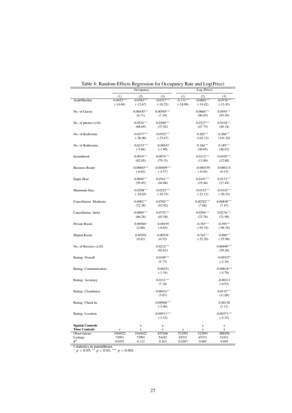|                                                 |              | <sub>.</sub><br>Occupancy  |                            |             | Log (Price)                | --------                   |
|-------------------------------------------------|--------------|----------------------------|----------------------------|-------------|----------------------------|----------------------------|
|                                                 | (1)          | (2)                        | (3)                        | (1)         | (2)                        | (3)                        |
| Arab/Muslim                                     | $-0.0452***$ | $-0.0363***$               | $-0.0317***$               | $-0.131***$ | $-0.0602***$               | $-0.0576***$               |
|                                                 | $(-14.69)$   | $(-12.67)$                 | $(-10.25)$                 | $(-18.09)$  | $(-14.42)$                 | $(-13.43)$                 |
| No. of Guests                                   |              | $0.00430***$               | $0.00505***$               |             | $0.0604***$                | $0.0595***$                |
|                                                 |              | (6.71)                     | (7.19)                     |             | (96.85)                    | (93.59)                    |
| No. of photos $(x10)$                           |              | $0.0524***$                | $0.0300***$                |             | $0.0327***$                | $0.0318***$                |
|                                                 |              | (68.69)                    | (37.02)                    |             | (47.73)                    | (46.18)                    |
| No. of Bedrooms                                 |              | $-0.0377***$               | $-0.0352***$               |             | $0.265***$                 | $0.268***$                 |
|                                                 |              | $(-26.96)$                 | $(-23.47)$                 |             | (142.12)                   | (141.24)                   |
| No. of Bathrooms                                |              | $-0.0153***$               | $-0.00547$                 |             | $0.184***$                 | $0.185***$                 |
|                                                 |              | $(-5.66)$                  | $(-1.90)$                  |             | (46.65)                    | (46.02)                    |
| Instantbook                                     |              | $0.0919***$                | $0.0974***$                |             | $0.0112***$                | $0.0105***$                |
|                                                 |              | (82.05)                    | (79.15)                    |             | (13.89)                    | (12.88)                    |
|                                                 |              | $-0.00665***$              | $-0.00509***$              |             | $-0.000339$                | 0.000115                   |
| <b>Business Ready</b>                           |              | $(-6.62)$                  | $(-4.57)$                  |             | $(-0.45)$                  | (0.15)                     |
|                                                 |              |                            |                            |             |                            |                            |
| Super Host                                      |              | $0.0949***$<br>(59.45)     | $0.0761***$<br>(44.86)     |             | $0.0191***$<br>(19.46)     | $0.0172***$<br>(17.44)     |
|                                                 |              |                            |                            |             |                            |                            |
| Minimum Stay                                    |              | $-0.0298***$<br>$(-34.65)$ | $-0.0253***$<br>$(-26.33)$ |             | $-0.0153***$<br>$(-22.12)$ | $-0.0143***$<br>$(-20.33)$ |
|                                                 |              |                            |                            |             |                            |                            |
| Cancellation: Moderate                          |              | $0.0982***$                | $0.0785***$<br>(52.92)     |             | $0.00782***$               | $0.00838***$               |
|                                                 |              | (72.38)                    |                            |             | (7.08)                     | (7.47)                     |
| Cancellation: Strict                            |              | $0.0969***$                | $0.0732***$                |             | $0.0294***$                | $0.0276***$                |
|                                                 |              | (66.26)                    | (45.58)                    |             | (23.76)                    | (21.98)                    |
| Private Room                                    |              | $0.00560*$                 | $-0.00195$                 |             | $-0.383***$                | $-0.395***$                |
|                                                 |              | (2.00)                     | $(-0.65)$                  |             | $(-95.74)$                 | $(-96.76)$                 |
| <b>Shared Room</b>                              |              | 0.00392                    | 0.00539                    |             | $-0.763***$                | $-0.800***$                |
|                                                 |              | (0.42)                     | (0.52)                     |             | $(-55.20)$                 | $(-55.98)$                 |
| No. of Reviews $(x10)$                          |              |                            | $0.0212***$                |             |                            | $0.00449***$               |
|                                                 |              |                            | (92.61)                    |             |                            | (29.26)                    |
| Rating: Overall                                 |              |                            | $0.0109***$                |             |                            | $-0.00327*$                |
|                                                 |              |                            | (5.73)                     |             |                            | $(-2.34)$                  |
| Rating: Communication                           |              |                            | $-0.00251$                 |             |                            | $-0.00618***$              |
|                                                 |              |                            | $(-1.34)$                  |             |                            | $(-4.70)$                  |
| Rating: Accuracy                                |              |                            | $0.0121***$                |             |                            | $-0.00111$                 |
|                                                 |              |                            | (7.18)                     |             |                            | $(-0.93)$                  |
| Rating: Cleanliness                             |              |                            | $0.00431**$                |             |                            | $0.0115***$                |
|                                                 |              |                            | (3.07)                     |             |                            | (11.09)                    |
|                                                 |              |                            | $-0.00968***$              |             |                            | 0.00138                    |
| Rating: Check In                                |              |                            | $(-5.46)$                  |             |                            | (1.11)                     |
|                                                 |              |                            |                            |             |                            |                            |
| Rating: Location                                |              |                            | $-0.00511***$<br>$(-3.32)$ |             |                            | $-0.00371***$<br>$(-3.32)$ |
|                                                 |              |                            |                            |             |                            |                            |
| <b>Spatial Controls</b><br><b>Time Controls</b> | X            | $\mathbf x$<br>$\mathbf X$ | $\mathbf X$<br>X           | x           | $\mathbf X$<br>X           | $\mathbf X$<br>X           |
| Observations                                    | 1044022      | 1044022                    | 855366                     | 522991      | 522991                     | 488498                     |
| Listings                                        | 72991        | 72991                      | 54182                      | 65331       | 65331                      | 52421                      |
| $R^2$<br>$t$ atatiation<br>noronthose           | 0.0191       | 0.112                      | 0.163                      | 0.0207      | 0.685                      | 0.695                      |

<span id="page-27-0"></span>

| Table 4: Random-Effects Regression for Occupancy Rate and Log(Price) |  |  |
|----------------------------------------------------------------------|--|--|
|                                                                      |  |  |

*t* statistics in parentheses <sup>∗</sup> *p* < 0.05, ∗∗ *p* < 0.01, ∗∗∗ *p* < 0.001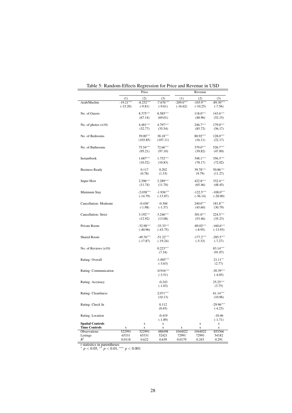| (1)<br>(3)<br>(1)<br>(3)<br>(2)<br>(2)<br>$-103.9***$<br>$-19.21***$<br>$-8.252***$<br>$-7.676***$<br>$-209.0***$<br>$-89.30***$<br>Arab/Muslim<br>$(-15.20)$<br>$(-16.62)$<br>$(-9.81)$<br>$(-9.61)$<br>$(-10.25)$<br>$(-7.56)$<br>No. of Guests<br>8.375***<br>8.585***<br>$143.6***$<br>$118.0***$<br>(67.14)<br>(69.01)<br>(48.96)<br>(52.15)<br>4.797***<br>$179.0***$<br>$4.481***$<br>246.7***<br>No. of photos $(x10)$<br>(32.77)<br>(35.54)<br>(85.72)<br>(56.17)<br>39.00***<br>38.18***<br>80.92***<br>No. of Bedrooms<br>$128.0***$<br>(103.85)<br>(107.11)<br>(16.11)<br>(22.17)<br>$75.54***$<br>72.66***<br>379.0***<br>526.7***<br>No. of Bathrooms<br>(95.21)<br>(97.10)<br>(39.82)<br>(47.89)<br>$1.687***$<br>$1.752***$<br>348.1***<br>356.3***<br>Instantbook<br>(10.52)<br>(72.02)<br>(10.83)<br>(78.17)<br>39.78***<br><b>Business Ready</b><br>0.117<br>0.202<br>50.86***<br>(0.78)<br>(1.33)<br>(9.79)<br>(11.27)<br>$2.296***$<br>$2.289***$<br>422.8***<br>332.4***<br>Super Host<br>(11.74)<br>(11.70)<br>(65.46)<br>(48.45)<br>$-1.936***$<br>$-122.5***$<br>$-108.0***$<br>Minimum Stay<br>$-2.038***$<br>$(-14.79)$<br>$(-13.87)$<br>$(-36.14)$<br>$(-28.00)$<br>Cancellation: Moderate<br>$-0.436*$<br>$-0.304$<br>$240.0***$<br>181.8***<br>$(-1.98)$<br>$(-1.37)$<br>(45.60)<br>(30.79)<br>$3.192***$<br>$3.246***$<br>$301.0***$<br>$224.5***$<br>Cancellation: Strict<br>(13.08)<br>(53.46)<br>(35.23)<br>(12.92)<br>$-32.98***$<br>Private Room<br>$-33.33***$<br>$-89.02***$<br>$-160.6***$<br>$(-40.96)$<br>$(-43.75)$<br>$(-8.95)$<br>$(-13.93)$<br>$-49.76***$<br>$-51.22***$<br>$-177.2***$<br>$-285.5***$<br><b>Shared Room</b><br>$(-17.87)$<br>$(-19.24)$<br>$(-5.33)$<br>$(-7.27)$<br>$0.223***$<br>83.14***<br>No. of Reviews $(x10)$<br>(7.34)<br>(91.07)<br>$-1.005***$<br>Rating: Overall<br>$21.11**$<br>$(-3.63)$<br>(2.77)<br>$-0.916***$<br>$-30.39***$<br>Rating: Communication<br>$(-3.51)$<br>$(-4.05)$<br>$25.25***$<br>$-0.243$<br>Rating: Accuracy<br>$(-1.03)$<br>(3.75)<br>$2.071***$<br>$61.14***$<br>Rating: Cleanliness<br>(10.13)<br>(10.96)<br>$-29.96***$<br>Rating: Check In<br>0.112<br>(0.45)<br>$(-4.23)$<br>Rating: Location<br>$-0.419$<br>$-10.46$<br>$(-1.89)$<br>$(-1.71)$<br><b>Spatial Controls</b><br>$\mathbf X$<br>X<br>x<br>$\mathbf X$<br><b>Time Controls</b><br>$\mathbf X$<br>X<br>X<br>X<br>X<br>X<br>522991<br>522991<br>1044022<br>1044022<br>855366<br>Observations<br>488498<br>Listings<br>65331<br>65331<br>52421<br>72991<br>72991<br>54182<br>$R^2$<br>0.0118<br>0.622<br>0.0179<br>0.243<br>0.291<br>0.639 |  | Price |  | Revenue |  |
|-------------------------------------------------------------------------------------------------------------------------------------------------------------------------------------------------------------------------------------------------------------------------------------------------------------------------------------------------------------------------------------------------------------------------------------------------------------------------------------------------------------------------------------------------------------------------------------------------------------------------------------------------------------------------------------------------------------------------------------------------------------------------------------------------------------------------------------------------------------------------------------------------------------------------------------------------------------------------------------------------------------------------------------------------------------------------------------------------------------------------------------------------------------------------------------------------------------------------------------------------------------------------------------------------------------------------------------------------------------------------------------------------------------------------------------------------------------------------------------------------------------------------------------------------------------------------------------------------------------------------------------------------------------------------------------------------------------------------------------------------------------------------------------------------------------------------------------------------------------------------------------------------------------------------------------------------------------------------------------------------------------------------------------------------------------------------------------------------------------------------------------------------------------------------------------------------------------------------------------------------------------------------------------------------------------------------------------------------------------------------------------------------------------------------------------------------------------------------------------------------------------------------------------------------------------------------------------------------------------|--|-------|--|---------|--|
|                                                                                                                                                                                                                                                                                                                                                                                                                                                                                                                                                                                                                                                                                                                                                                                                                                                                                                                                                                                                                                                                                                                                                                                                                                                                                                                                                                                                                                                                                                                                                                                                                                                                                                                                                                                                                                                                                                                                                                                                                                                                                                                                                                                                                                                                                                                                                                                                                                                                                                                                                                                                             |  |       |  |         |  |
|                                                                                                                                                                                                                                                                                                                                                                                                                                                                                                                                                                                                                                                                                                                                                                                                                                                                                                                                                                                                                                                                                                                                                                                                                                                                                                                                                                                                                                                                                                                                                                                                                                                                                                                                                                                                                                                                                                                                                                                                                                                                                                                                                                                                                                                                                                                                                                                                                                                                                                                                                                                                             |  |       |  |         |  |
|                                                                                                                                                                                                                                                                                                                                                                                                                                                                                                                                                                                                                                                                                                                                                                                                                                                                                                                                                                                                                                                                                                                                                                                                                                                                                                                                                                                                                                                                                                                                                                                                                                                                                                                                                                                                                                                                                                                                                                                                                                                                                                                                                                                                                                                                                                                                                                                                                                                                                                                                                                                                             |  |       |  |         |  |
|                                                                                                                                                                                                                                                                                                                                                                                                                                                                                                                                                                                                                                                                                                                                                                                                                                                                                                                                                                                                                                                                                                                                                                                                                                                                                                                                                                                                                                                                                                                                                                                                                                                                                                                                                                                                                                                                                                                                                                                                                                                                                                                                                                                                                                                                                                                                                                                                                                                                                                                                                                                                             |  |       |  |         |  |
|                                                                                                                                                                                                                                                                                                                                                                                                                                                                                                                                                                                                                                                                                                                                                                                                                                                                                                                                                                                                                                                                                                                                                                                                                                                                                                                                                                                                                                                                                                                                                                                                                                                                                                                                                                                                                                                                                                                                                                                                                                                                                                                                                                                                                                                                                                                                                                                                                                                                                                                                                                                                             |  |       |  |         |  |
|                                                                                                                                                                                                                                                                                                                                                                                                                                                                                                                                                                                                                                                                                                                                                                                                                                                                                                                                                                                                                                                                                                                                                                                                                                                                                                                                                                                                                                                                                                                                                                                                                                                                                                                                                                                                                                                                                                                                                                                                                                                                                                                                                                                                                                                                                                                                                                                                                                                                                                                                                                                                             |  |       |  |         |  |
|                                                                                                                                                                                                                                                                                                                                                                                                                                                                                                                                                                                                                                                                                                                                                                                                                                                                                                                                                                                                                                                                                                                                                                                                                                                                                                                                                                                                                                                                                                                                                                                                                                                                                                                                                                                                                                                                                                                                                                                                                                                                                                                                                                                                                                                                                                                                                                                                                                                                                                                                                                                                             |  |       |  |         |  |
|                                                                                                                                                                                                                                                                                                                                                                                                                                                                                                                                                                                                                                                                                                                                                                                                                                                                                                                                                                                                                                                                                                                                                                                                                                                                                                                                                                                                                                                                                                                                                                                                                                                                                                                                                                                                                                                                                                                                                                                                                                                                                                                                                                                                                                                                                                                                                                                                                                                                                                                                                                                                             |  |       |  |         |  |
|                                                                                                                                                                                                                                                                                                                                                                                                                                                                                                                                                                                                                                                                                                                                                                                                                                                                                                                                                                                                                                                                                                                                                                                                                                                                                                                                                                                                                                                                                                                                                                                                                                                                                                                                                                                                                                                                                                                                                                                                                                                                                                                                                                                                                                                                                                                                                                                                                                                                                                                                                                                                             |  |       |  |         |  |
|                                                                                                                                                                                                                                                                                                                                                                                                                                                                                                                                                                                                                                                                                                                                                                                                                                                                                                                                                                                                                                                                                                                                                                                                                                                                                                                                                                                                                                                                                                                                                                                                                                                                                                                                                                                                                                                                                                                                                                                                                                                                                                                                                                                                                                                                                                                                                                                                                                                                                                                                                                                                             |  |       |  |         |  |
|                                                                                                                                                                                                                                                                                                                                                                                                                                                                                                                                                                                                                                                                                                                                                                                                                                                                                                                                                                                                                                                                                                                                                                                                                                                                                                                                                                                                                                                                                                                                                                                                                                                                                                                                                                                                                                                                                                                                                                                                                                                                                                                                                                                                                                                                                                                                                                                                                                                                                                                                                                                                             |  |       |  |         |  |
|                                                                                                                                                                                                                                                                                                                                                                                                                                                                                                                                                                                                                                                                                                                                                                                                                                                                                                                                                                                                                                                                                                                                                                                                                                                                                                                                                                                                                                                                                                                                                                                                                                                                                                                                                                                                                                                                                                                                                                                                                                                                                                                                                                                                                                                                                                                                                                                                                                                                                                                                                                                                             |  |       |  |         |  |
|                                                                                                                                                                                                                                                                                                                                                                                                                                                                                                                                                                                                                                                                                                                                                                                                                                                                                                                                                                                                                                                                                                                                                                                                                                                                                                                                                                                                                                                                                                                                                                                                                                                                                                                                                                                                                                                                                                                                                                                                                                                                                                                                                                                                                                                                                                                                                                                                                                                                                                                                                                                                             |  |       |  |         |  |
|                                                                                                                                                                                                                                                                                                                                                                                                                                                                                                                                                                                                                                                                                                                                                                                                                                                                                                                                                                                                                                                                                                                                                                                                                                                                                                                                                                                                                                                                                                                                                                                                                                                                                                                                                                                                                                                                                                                                                                                                                                                                                                                                                                                                                                                                                                                                                                                                                                                                                                                                                                                                             |  |       |  |         |  |
|                                                                                                                                                                                                                                                                                                                                                                                                                                                                                                                                                                                                                                                                                                                                                                                                                                                                                                                                                                                                                                                                                                                                                                                                                                                                                                                                                                                                                                                                                                                                                                                                                                                                                                                                                                                                                                                                                                                                                                                                                                                                                                                                                                                                                                                                                                                                                                                                                                                                                                                                                                                                             |  |       |  |         |  |
|                                                                                                                                                                                                                                                                                                                                                                                                                                                                                                                                                                                                                                                                                                                                                                                                                                                                                                                                                                                                                                                                                                                                                                                                                                                                                                                                                                                                                                                                                                                                                                                                                                                                                                                                                                                                                                                                                                                                                                                                                                                                                                                                                                                                                                                                                                                                                                                                                                                                                                                                                                                                             |  |       |  |         |  |
|                                                                                                                                                                                                                                                                                                                                                                                                                                                                                                                                                                                                                                                                                                                                                                                                                                                                                                                                                                                                                                                                                                                                                                                                                                                                                                                                                                                                                                                                                                                                                                                                                                                                                                                                                                                                                                                                                                                                                                                                                                                                                                                                                                                                                                                                                                                                                                                                                                                                                                                                                                                                             |  |       |  |         |  |
|                                                                                                                                                                                                                                                                                                                                                                                                                                                                                                                                                                                                                                                                                                                                                                                                                                                                                                                                                                                                                                                                                                                                                                                                                                                                                                                                                                                                                                                                                                                                                                                                                                                                                                                                                                                                                                                                                                                                                                                                                                                                                                                                                                                                                                                                                                                                                                                                                                                                                                                                                                                                             |  |       |  |         |  |
|                                                                                                                                                                                                                                                                                                                                                                                                                                                                                                                                                                                                                                                                                                                                                                                                                                                                                                                                                                                                                                                                                                                                                                                                                                                                                                                                                                                                                                                                                                                                                                                                                                                                                                                                                                                                                                                                                                                                                                                                                                                                                                                                                                                                                                                                                                                                                                                                                                                                                                                                                                                                             |  |       |  |         |  |
|                                                                                                                                                                                                                                                                                                                                                                                                                                                                                                                                                                                                                                                                                                                                                                                                                                                                                                                                                                                                                                                                                                                                                                                                                                                                                                                                                                                                                                                                                                                                                                                                                                                                                                                                                                                                                                                                                                                                                                                                                                                                                                                                                                                                                                                                                                                                                                                                                                                                                                                                                                                                             |  |       |  |         |  |
|                                                                                                                                                                                                                                                                                                                                                                                                                                                                                                                                                                                                                                                                                                                                                                                                                                                                                                                                                                                                                                                                                                                                                                                                                                                                                                                                                                                                                                                                                                                                                                                                                                                                                                                                                                                                                                                                                                                                                                                                                                                                                                                                                                                                                                                                                                                                                                                                                                                                                                                                                                                                             |  |       |  |         |  |
|                                                                                                                                                                                                                                                                                                                                                                                                                                                                                                                                                                                                                                                                                                                                                                                                                                                                                                                                                                                                                                                                                                                                                                                                                                                                                                                                                                                                                                                                                                                                                                                                                                                                                                                                                                                                                                                                                                                                                                                                                                                                                                                                                                                                                                                                                                                                                                                                                                                                                                                                                                                                             |  |       |  |         |  |
|                                                                                                                                                                                                                                                                                                                                                                                                                                                                                                                                                                                                                                                                                                                                                                                                                                                                                                                                                                                                                                                                                                                                                                                                                                                                                                                                                                                                                                                                                                                                                                                                                                                                                                                                                                                                                                                                                                                                                                                                                                                                                                                                                                                                                                                                                                                                                                                                                                                                                                                                                                                                             |  |       |  |         |  |
|                                                                                                                                                                                                                                                                                                                                                                                                                                                                                                                                                                                                                                                                                                                                                                                                                                                                                                                                                                                                                                                                                                                                                                                                                                                                                                                                                                                                                                                                                                                                                                                                                                                                                                                                                                                                                                                                                                                                                                                                                                                                                                                                                                                                                                                                                                                                                                                                                                                                                                                                                                                                             |  |       |  |         |  |
|                                                                                                                                                                                                                                                                                                                                                                                                                                                                                                                                                                                                                                                                                                                                                                                                                                                                                                                                                                                                                                                                                                                                                                                                                                                                                                                                                                                                                                                                                                                                                                                                                                                                                                                                                                                                                                                                                                                                                                                                                                                                                                                                                                                                                                                                                                                                                                                                                                                                                                                                                                                                             |  |       |  |         |  |
|                                                                                                                                                                                                                                                                                                                                                                                                                                                                                                                                                                                                                                                                                                                                                                                                                                                                                                                                                                                                                                                                                                                                                                                                                                                                                                                                                                                                                                                                                                                                                                                                                                                                                                                                                                                                                                                                                                                                                                                                                                                                                                                                                                                                                                                                                                                                                                                                                                                                                                                                                                                                             |  |       |  |         |  |
|                                                                                                                                                                                                                                                                                                                                                                                                                                                                                                                                                                                                                                                                                                                                                                                                                                                                                                                                                                                                                                                                                                                                                                                                                                                                                                                                                                                                                                                                                                                                                                                                                                                                                                                                                                                                                                                                                                                                                                                                                                                                                                                                                                                                                                                                                                                                                                                                                                                                                                                                                                                                             |  |       |  |         |  |
|                                                                                                                                                                                                                                                                                                                                                                                                                                                                                                                                                                                                                                                                                                                                                                                                                                                                                                                                                                                                                                                                                                                                                                                                                                                                                                                                                                                                                                                                                                                                                                                                                                                                                                                                                                                                                                                                                                                                                                                                                                                                                                                                                                                                                                                                                                                                                                                                                                                                                                                                                                                                             |  |       |  |         |  |
|                                                                                                                                                                                                                                                                                                                                                                                                                                                                                                                                                                                                                                                                                                                                                                                                                                                                                                                                                                                                                                                                                                                                                                                                                                                                                                                                                                                                                                                                                                                                                                                                                                                                                                                                                                                                                                                                                                                                                                                                                                                                                                                                                                                                                                                                                                                                                                                                                                                                                                                                                                                                             |  |       |  |         |  |
|                                                                                                                                                                                                                                                                                                                                                                                                                                                                                                                                                                                                                                                                                                                                                                                                                                                                                                                                                                                                                                                                                                                                                                                                                                                                                                                                                                                                                                                                                                                                                                                                                                                                                                                                                                                                                                                                                                                                                                                                                                                                                                                                                                                                                                                                                                                                                                                                                                                                                                                                                                                                             |  |       |  |         |  |
|                                                                                                                                                                                                                                                                                                                                                                                                                                                                                                                                                                                                                                                                                                                                                                                                                                                                                                                                                                                                                                                                                                                                                                                                                                                                                                                                                                                                                                                                                                                                                                                                                                                                                                                                                                                                                                                                                                                                                                                                                                                                                                                                                                                                                                                                                                                                                                                                                                                                                                                                                                                                             |  |       |  |         |  |
|                                                                                                                                                                                                                                                                                                                                                                                                                                                                                                                                                                                                                                                                                                                                                                                                                                                                                                                                                                                                                                                                                                                                                                                                                                                                                                                                                                                                                                                                                                                                                                                                                                                                                                                                                                                                                                                                                                                                                                                                                                                                                                                                                                                                                                                                                                                                                                                                                                                                                                                                                                                                             |  |       |  |         |  |
|                                                                                                                                                                                                                                                                                                                                                                                                                                                                                                                                                                                                                                                                                                                                                                                                                                                                                                                                                                                                                                                                                                                                                                                                                                                                                                                                                                                                                                                                                                                                                                                                                                                                                                                                                                                                                                                                                                                                                                                                                                                                                                                                                                                                                                                                                                                                                                                                                                                                                                                                                                                                             |  |       |  |         |  |
|                                                                                                                                                                                                                                                                                                                                                                                                                                                                                                                                                                                                                                                                                                                                                                                                                                                                                                                                                                                                                                                                                                                                                                                                                                                                                                                                                                                                                                                                                                                                                                                                                                                                                                                                                                                                                                                                                                                                                                                                                                                                                                                                                                                                                                                                                                                                                                                                                                                                                                                                                                                                             |  |       |  |         |  |
|                                                                                                                                                                                                                                                                                                                                                                                                                                                                                                                                                                                                                                                                                                                                                                                                                                                                                                                                                                                                                                                                                                                                                                                                                                                                                                                                                                                                                                                                                                                                                                                                                                                                                                                                                                                                                                                                                                                                                                                                                                                                                                                                                                                                                                                                                                                                                                                                                                                                                                                                                                                                             |  |       |  |         |  |
|                                                                                                                                                                                                                                                                                                                                                                                                                                                                                                                                                                                                                                                                                                                                                                                                                                                                                                                                                                                                                                                                                                                                                                                                                                                                                                                                                                                                                                                                                                                                                                                                                                                                                                                                                                                                                                                                                                                                                                                                                                                                                                                                                                                                                                                                                                                                                                                                                                                                                                                                                                                                             |  |       |  |         |  |
|                                                                                                                                                                                                                                                                                                                                                                                                                                                                                                                                                                                                                                                                                                                                                                                                                                                                                                                                                                                                                                                                                                                                                                                                                                                                                                                                                                                                                                                                                                                                                                                                                                                                                                                                                                                                                                                                                                                                                                                                                                                                                                                                                                                                                                                                                                                                                                                                                                                                                                                                                                                                             |  |       |  |         |  |
|                                                                                                                                                                                                                                                                                                                                                                                                                                                                                                                                                                                                                                                                                                                                                                                                                                                                                                                                                                                                                                                                                                                                                                                                                                                                                                                                                                                                                                                                                                                                                                                                                                                                                                                                                                                                                                                                                                                                                                                                                                                                                                                                                                                                                                                                                                                                                                                                                                                                                                                                                                                                             |  |       |  |         |  |
|                                                                                                                                                                                                                                                                                                                                                                                                                                                                                                                                                                                                                                                                                                                                                                                                                                                                                                                                                                                                                                                                                                                                                                                                                                                                                                                                                                                                                                                                                                                                                                                                                                                                                                                                                                                                                                                                                                                                                                                                                                                                                                                                                                                                                                                                                                                                                                                                                                                                                                                                                                                                             |  |       |  |         |  |
|                                                                                                                                                                                                                                                                                                                                                                                                                                                                                                                                                                                                                                                                                                                                                                                                                                                                                                                                                                                                                                                                                                                                                                                                                                                                                                                                                                                                                                                                                                                                                                                                                                                                                                                                                                                                                                                                                                                                                                                                                                                                                                                                                                                                                                                                                                                                                                                                                                                                                                                                                                                                             |  |       |  |         |  |
|                                                                                                                                                                                                                                                                                                                                                                                                                                                                                                                                                                                                                                                                                                                                                                                                                                                                                                                                                                                                                                                                                                                                                                                                                                                                                                                                                                                                                                                                                                                                                                                                                                                                                                                                                                                                                                                                                                                                                                                                                                                                                                                                                                                                                                                                                                                                                                                                                                                                                                                                                                                                             |  |       |  |         |  |
|                                                                                                                                                                                                                                                                                                                                                                                                                                                                                                                                                                                                                                                                                                                                                                                                                                                                                                                                                                                                                                                                                                                                                                                                                                                                                                                                                                                                                                                                                                                                                                                                                                                                                                                                                                                                                                                                                                                                                                                                                                                                                                                                                                                                                                                                                                                                                                                                                                                                                                                                                                                                             |  |       |  |         |  |
|                                                                                                                                                                                                                                                                                                                                                                                                                                                                                                                                                                                                                                                                                                                                                                                                                                                                                                                                                                                                                                                                                                                                                                                                                                                                                                                                                                                                                                                                                                                                                                                                                                                                                                                                                                                                                                                                                                                                                                                                                                                                                                                                                                                                                                                                                                                                                                                                                                                                                                                                                                                                             |  |       |  |         |  |
|                                                                                                                                                                                                                                                                                                                                                                                                                                                                                                                                                                                                                                                                                                                                                                                                                                                                                                                                                                                                                                                                                                                                                                                                                                                                                                                                                                                                                                                                                                                                                                                                                                                                                                                                                                                                                                                                                                                                                                                                                                                                                                                                                                                                                                                                                                                                                                                                                                                                                                                                                                                                             |  |       |  |         |  |
|                                                                                                                                                                                                                                                                                                                                                                                                                                                                                                                                                                                                                                                                                                                                                                                                                                                                                                                                                                                                                                                                                                                                                                                                                                                                                                                                                                                                                                                                                                                                                                                                                                                                                                                                                                                                                                                                                                                                                                                                                                                                                                                                                                                                                                                                                                                                                                                                                                                                                                                                                                                                             |  |       |  |         |  |
|                                                                                                                                                                                                                                                                                                                                                                                                                                                                                                                                                                                                                                                                                                                                                                                                                                                                                                                                                                                                                                                                                                                                                                                                                                                                                                                                                                                                                                                                                                                                                                                                                                                                                                                                                                                                                                                                                                                                                                                                                                                                                                                                                                                                                                                                                                                                                                                                                                                                                                                                                                                                             |  |       |  |         |  |
|                                                                                                                                                                                                                                                                                                                                                                                                                                                                                                                                                                                                                                                                                                                                                                                                                                                                                                                                                                                                                                                                                                                                                                                                                                                                                                                                                                                                                                                                                                                                                                                                                                                                                                                                                                                                                                                                                                                                                                                                                                                                                                                                                                                                                                                                                                                                                                                                                                                                                                                                                                                                             |  |       |  |         |  |
|                                                                                                                                                                                                                                                                                                                                                                                                                                                                                                                                                                                                                                                                                                                                                                                                                                                                                                                                                                                                                                                                                                                                                                                                                                                                                                                                                                                                                                                                                                                                                                                                                                                                                                                                                                                                                                                                                                                                                                                                                                                                                                                                                                                                                                                                                                                                                                                                                                                                                                                                                                                                             |  |       |  |         |  |
|                                                                                                                                                                                                                                                                                                                                                                                                                                                                                                                                                                                                                                                                                                                                                                                                                                                                                                                                                                                                                                                                                                                                                                                                                                                                                                                                                                                                                                                                                                                                                                                                                                                                                                                                                                                                                                                                                                                                                                                                                                                                                                                                                                                                                                                                                                                                                                                                                                                                                                                                                                                                             |  |       |  |         |  |
|                                                                                                                                                                                                                                                                                                                                                                                                                                                                                                                                                                                                                                                                                                                                                                                                                                                                                                                                                                                                                                                                                                                                                                                                                                                                                                                                                                                                                                                                                                                                                                                                                                                                                                                                                                                                                                                                                                                                                                                                                                                                                                                                                                                                                                                                                                                                                                                                                                                                                                                                                                                                             |  |       |  |         |  |
|                                                                                                                                                                                                                                                                                                                                                                                                                                                                                                                                                                                                                                                                                                                                                                                                                                                                                                                                                                                                                                                                                                                                                                                                                                                                                                                                                                                                                                                                                                                                                                                                                                                                                                                                                                                                                                                                                                                                                                                                                                                                                                                                                                                                                                                                                                                                                                                                                                                                                                                                                                                                             |  |       |  |         |  |
|                                                                                                                                                                                                                                                                                                                                                                                                                                                                                                                                                                                                                                                                                                                                                                                                                                                                                                                                                                                                                                                                                                                                                                                                                                                                                                                                                                                                                                                                                                                                                                                                                                                                                                                                                                                                                                                                                                                                                                                                                                                                                                                                                                                                                                                                                                                                                                                                                                                                                                                                                                                                             |  |       |  |         |  |
|                                                                                                                                                                                                                                                                                                                                                                                                                                                                                                                                                                                                                                                                                                                                                                                                                                                                                                                                                                                                                                                                                                                                                                                                                                                                                                                                                                                                                                                                                                                                                                                                                                                                                                                                                                                                                                                                                                                                                                                                                                                                                                                                                                                                                                                                                                                                                                                                                                                                                                                                                                                                             |  |       |  |         |  |
|                                                                                                                                                                                                                                                                                                                                                                                                                                                                                                                                                                                                                                                                                                                                                                                                                                                                                                                                                                                                                                                                                                                                                                                                                                                                                                                                                                                                                                                                                                                                                                                                                                                                                                                                                                                                                                                                                                                                                                                                                                                                                                                                                                                                                                                                                                                                                                                                                                                                                                                                                                                                             |  |       |  |         |  |
|                                                                                                                                                                                                                                                                                                                                                                                                                                                                                                                                                                                                                                                                                                                                                                                                                                                                                                                                                                                                                                                                                                                                                                                                                                                                                                                                                                                                                                                                                                                                                                                                                                                                                                                                                                                                                                                                                                                                                                                                                                                                                                                                                                                                                                                                                                                                                                                                                                                                                                                                                                                                             |  |       |  |         |  |
|                                                                                                                                                                                                                                                                                                                                                                                                                                                                                                                                                                                                                                                                                                                                                                                                                                                                                                                                                                                                                                                                                                                                                                                                                                                                                                                                                                                                                                                                                                                                                                                                                                                                                                                                                                                                                                                                                                                                                                                                                                                                                                                                                                                                                                                                                                                                                                                                                                                                                                                                                                                                             |  |       |  |         |  |
|                                                                                                                                                                                                                                                                                                                                                                                                                                                                                                                                                                                                                                                                                                                                                                                                                                                                                                                                                                                                                                                                                                                                                                                                                                                                                                                                                                                                                                                                                                                                                                                                                                                                                                                                                                                                                                                                                                                                                                                                                                                                                                                                                                                                                                                                                                                                                                                                                                                                                                                                                                                                             |  |       |  |         |  |

<span id="page-28-0"></span>Table 5: Random-Effects Regression for Price and Revenue in USD

*t* statistics in parentheses <sup>∗</sup> *p* < 0.05, ∗∗ *p* < 0.01, ∗∗∗ *p* < 0.001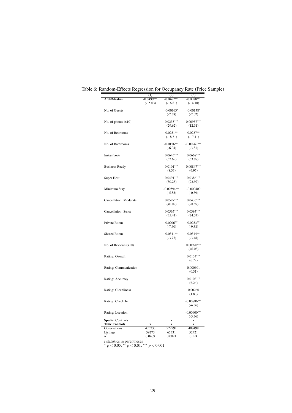<span id="page-29-0"></span>

|                         | (1)          | (2)           | (3)           |
|-------------------------|--------------|---------------|---------------|
| Arab/Muslim             | $-0.0499***$ | $-0.0462***$  | $-0.0388***$  |
|                         | $(-15.03)$   | $(-16.81)$    | $(-14.18)$    |
|                         |              |               |               |
| No. of Guests           |              | $-0.00163*$   | $-0.00138*$   |
|                         |              | $(-2.38)$     | $(-2.02)$     |
| No. of photos $(x10)$   |              | $0.0233***$   | $0.00957***$  |
|                         |              | (29.62)       | (12.31)       |
|                         |              |               |               |
| No. of Bedrooms         |              | $-0.0251***$  | $-0.0237***$  |
|                         |              | $(-18.31)$    | $(-17.41)$    |
|                         |              |               |               |
| No. of Bathrooms        |              | $-0.0156***$  | $-0.00967***$ |
|                         |              | $(-6.04)$     | $(-3.81)$     |
| Instantbook             |              | $0.0645***$   | $0.0668***$   |
|                         |              |               |               |
|                         |              | (52.69)       | (53.97)       |
| <b>Business Ready</b>   |              | $0.0101***$   | $0.00847***$  |
|                         |              | (8.33)        | (6.95)        |
|                         |              |               |               |
| Super Host              |              | $0.0491***$   | $0.0386***$   |
|                         |              | (30.25)       | (23.92)       |
|                         |              |               |               |
| Minimum Stay            |              | $-0.00594***$ | $-0.000400$   |
|                         |              | $(-5.85)$     | $(-0.39)$     |
|                         |              |               | $0.0436***$   |
| Cancellation: Moderate  |              | $0.0597***$   |               |
|                         |              | (40.02)       | (28.97)       |
| Cancellation: Strict    |              | $0.0565***$   | $0.0393***$   |
|                         |              | (35.41)       | (24.34)       |
|                         |              |               |               |
| Private Room            |              | $-0.0206***$  | $-0.0253***$  |
|                         |              | $(-7.60)$     | $(-9.38)$     |
|                         |              |               |               |
| <b>Shared Room</b>      |              | $-0.0341***$  | $-0.0314***$  |
|                         |              | $(-3.77)$     | $(-3.48)$     |
| No. of Reviews $(x10)$  |              |               | $0.00970***$  |
|                         |              |               | (46.03)       |
|                         |              |               |               |
| Rating: Overall         |              |               | $0.0134***$   |
|                         |              |               | (6.72)        |
|                         |              |               |               |
| Rating: Communication   |              |               | 0.000601      |
|                         |              |               | (0.31)        |
|                         |              |               |               |
| Rating: Accuracy        |              |               | $0.0108***$   |
|                         |              |               | (6.24)        |
|                         |              |               | 0.00260       |
| Rating: Cleanliness     |              |               |               |
|                         |              |               | (1.83)        |
| Rating: Check In        |              |               | $-0.00886***$ |
|                         |              |               | $(-4.86)$     |
|                         |              |               |               |
| Rating: Location        |              |               | $-0.00900***$ |
|                         |              |               | $(-5.76)$     |
| <b>Spatial Controls</b> |              | X             | X             |
| <b>Time Controls</b>    | X            | X             | X             |
| Observations            | 475733       | 522991        | 488498        |
| Listings                | 59273        | 65331         | 52421         |
| $R^2$                   | 0.0409       | 0.0891        | 0.124         |

Table 6: Random-Effects Regression for Occupancy Rate (Price Sample)

*t* statistics in parentheses <sup>∗</sup> *p* < 0.05, ∗∗ *p* < 0.01, ∗∗∗ *p* < 0.001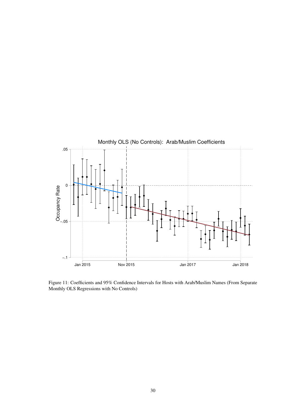

<span id="page-30-0"></span>Figure 11: Coefficients and 95% Confidence Intervals for Hosts with Arab/Muslim Names (From Separate Monthly OLS Regressions with No Controls)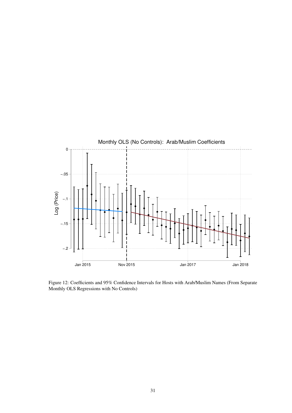

<span id="page-31-0"></span>Figure 12: Coefficients and 95% Confidence Intervals for Hosts with Arab/Muslim Names (From Separate Monthly OLS Regressions with No Controls)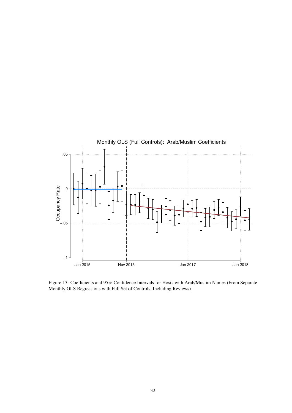

<span id="page-32-0"></span>Figure 13: Coefficients and 95% Confidence Intervals for Hosts with Arab/Muslim Names (From Separate Monthly OLS Regressions with Full Set of Controls, Including Reviews)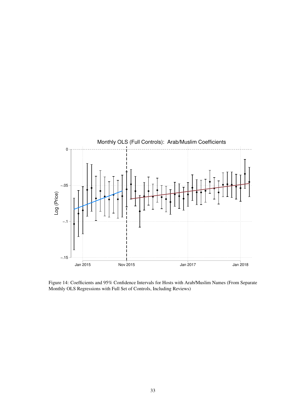

<span id="page-33-0"></span>Figure 14: Coefficients and 95% Confidence Intervals for Hosts with Arab/Muslim Names (From Separate Monthly OLS Regressions with Full Set of Controls, Including Reviews)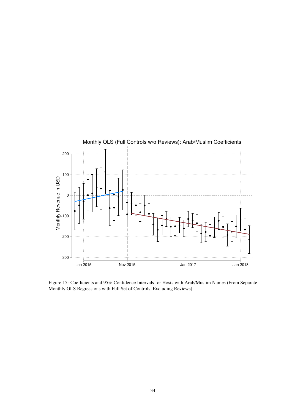

<span id="page-34-0"></span>Figure 15: Coefficients and 95% Confidence Intervals for Hosts with Arab/Muslim Names (From Separate Monthly OLS Regressions with Full Set of Controls, Excluding Reviews)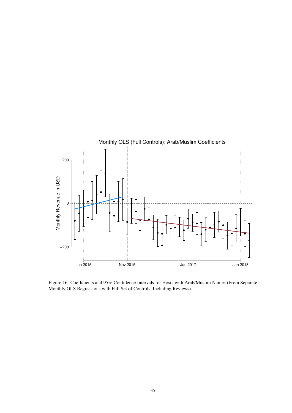

<span id="page-35-0"></span>Figure 16: Coefficients and 95% Confidence Intervals for Hosts with Arab/Muslim Names (From Separate Monthly OLS Regressions with Full Set of Controls, Including Reviews)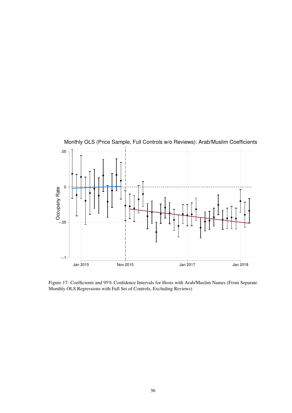

Figure 17: Coefficients and 95% Confidence Intervals for Hosts with Arab/Muslim Names (From Separate Monthly OLS Regressions with Full Set of Controls, Excluding Reviews)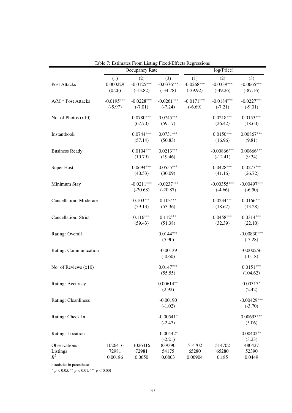|                            |              | Table 7: Estimates From Listing Fixed-Effects Regressions |              |              |                |               |
|----------------------------|--------------|-----------------------------------------------------------|--------------|--------------|----------------|---------------|
|                            |              | Occupancy Rate                                            |              |              | log(Price)     |               |
|                            | (1)          | (2)                                                       | (3)          | (1)          | (2)            | (3)           |
| Post Attacks               | 0.000229     | $-0.0125***$                                              | $-0.0376***$ | $-0.0268***$ | $-0.0339***$   | $-0.0665***$  |
|                            | (0.26)       | $(-13.82)$                                                | $(-34.78)$   | $(-39.92)$   | $(-49.26)$     | $(-87.16)$    |
| A/M * Post Attacks         | $-0.0195***$ | $-0.0228***$                                              | $-0.0261***$ | $-0.0171***$ | $-0.0184***$   | $-0.0227***$  |
|                            | $(-5.97)$    | $(-7.01)$                                                 | $(-7.24)$    | $(-6.69)$    | $(-7.21)$      | $(-9.01)$     |
| No. of Photos $(x10)$      |              | $0.0780***$                                               | $0.0745***$  |              | $0.0218***$    | $0.0153***$   |
|                            |              | (67.70)                                                   | (59.17)      |              | (26.42)        | (18.60)       |
| Instantbook                |              | $0.0744***$                                               | $0.0731***$  |              | $0.0150***$    | $0.00867***$  |
|                            |              | (57.14)                                                   | (50.83)      |              | (16.96)        | (9.81)        |
| <b>Business Ready</b>      |              | $0.0104***$                                               | $0.0213***$  |              | $-0.00866$ *** | $0.00666***$  |
|                            |              | (10.79)                                                   | (19.46)      |              | $(-12.41)$     | (9.34)        |
| Super Host                 |              | $0.0694***$                                               | $0.0555***$  |              | $0.0428***$    | $0.0277***$   |
|                            |              | (40.53)                                                   | (30.09)      |              | (41.16)        | (26.72)       |
| Minimum Stay               |              | $-0.0211***$                                              | $-0.0237***$ |              | $-0.00355***$  | $-0.00497***$ |
|                            |              | $(-20.68)$                                                | $(-20.87)$   |              | $(-4.66)$      | $(-6.50)$     |
| Cancellation: Moderate     |              | $0.103***$                                                | $0.103***$   |              | $0.0234***$    | $0.0166***$   |
|                            |              | (59.13)                                                   | (53.36)      |              | (18.67)        | (13.28)       |
| Cancellation: Strict       |              | $0.116***$                                                | $0.112***$   |              | $0.0458***$    | $0.0314***$   |
|                            |              | (59.43)                                                   | (51.38)      |              | (32.39)        | (22.10)       |
| Rating: Overall            |              |                                                           | $0.0144***$  |              |                | $-0.00830***$ |
|                            |              |                                                           | (5.90)       |              |                | $(-5.28)$     |
| Rating: Communication      |              |                                                           | $-0.00139$   |              |                | $-0.000256$   |
|                            |              |                                                           | $(-0.60)$    |              |                | $(-0.18)$     |
| No. of Reviews $(x10)$     |              |                                                           | $0.0147***$  |              |                | $0.0151***$   |
|                            |              |                                                           | (55.55)      |              |                | (104.62)      |
| Rating: Accuracy           |              |                                                           | $0.00614**$  |              |                | $0.00317*$    |
|                            |              |                                                           | (2.92)       |              |                | (2.42)        |
| <b>Rating: Cleanliness</b> |              |                                                           | $-0.00190$   |              |                | $-0.00429***$ |
|                            |              |                                                           | $(-1.02)$    |              |                | $(-3.70)$     |
| Rating: Check In           |              |                                                           | $-0.00541*$  |              |                | $0.00693***$  |
|                            |              |                                                           | $(-2.47)$    |              |                | (5.06)        |
| Rating: Location           |              |                                                           | $-0.00442*$  |              |                | $0.00402**$   |
|                            |              |                                                           | $(-2.21)$    |              |                | (3.23)        |
| <b>Observations</b>        | 1026416      | 1026416                                                   | 839390       | 514702       | 514702         | 480427        |
| Listings                   | 72981        | 72981                                                     | 54175        | 65280        | 65280          | 52390         |
| $R^2$                      | 0.00186      | 0.0650                                                    | 0.0803       | 0.00904      | 0.185          | 0.0449        |

<span id="page-37-0"></span>Table 7: Estimates From Listing Fixed-Effects Regressions

*t* statistics in parentheses

<sup>∗</sup> *p* < 0.05, ∗∗ *p* < 0.01, ∗∗∗ *p* < 0.001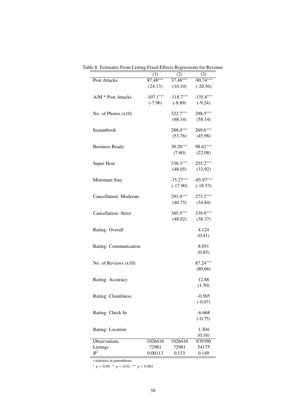|                               | (1)         | (2)                  | (3)                 |
|-------------------------------|-------------|----------------------|---------------------|
| Post Attacks                  | $87.48***$  | $37.48***$           | $-90.74***$         |
|                               | (24.13)     | $(10.10)$ $(-20.56)$ |                     |
| $A/M * Post Attacks$          | $-107.1***$ | $-118.7***$          | $-135.8***$         |
|                               | $(-7.96)$   | $(-8.89)$            | $(-9.24)$           |
| No. of Photos $(x10)$         |             | $322.7***$           | 298.5***            |
|                               |             | (68.14)              | (58.14)             |
| Instantbook                   |             | 288.0***             | 269.6***            |
|                               |             | (53.76)              | (45.98)             |
| <b>Business Ready</b>         |             | $30.26***$           | 98.62***            |
|                               |             | (7.60)               | (22.08)             |
| <b>Super Host</b>             |             | $338.3***$           | $255.2***$          |
|                               |             |                      | $(48.05)$ $(33.92)$ |
| Minimum Stay                  |             | $-75.27***$          | $-85.97***$         |
|                               |             | $(-17.90)$           | $(-18.53)$          |
| <b>Cancellation: Moderate</b> |             | $291.9***$           | $273.2***$          |
|                               |             | (40.75)              | (34.84)             |
| Cancellation: Strict          |             | $385.5***$           | 339.9***            |
|                               |             | (48.02)              | (38.37)             |
| Rating: Overall               |             |                      | 4.124               |
|                               |             |                      | (0.41)              |
| Rating: Communication         |             |                      | 8.051               |
|                               |             |                      | (0.85)              |
| No. of Reviews $(x10)$        |             |                      | 87.24***            |
|                               |             |                      | (80.66)             |
| Rating: Accuracy              |             |                      | 12.88               |
|                               |             |                      | (1.50)              |
| <b>Rating: Cleanliness</b>    |             |                      | $-0.505$            |
|                               |             |                      | $(-0.07)$           |
| Rating: Check In              |             |                      | $-6.668$            |
|                               |             |                      | $(-0.75)$           |
| Rating: Location              |             |                      | 1.304               |
|                               |             |                      | (0.16)              |
| <b>Observations</b>           | 1026416     | 1026416              | 839390              |
| Listings<br>$R^2$             | 72981       | 72981                | 54175               |
|                               | 0.00113     | 0.133                | 0.149               |

Table 8: Estimates From Listing Fixed-Effects Regressions for Revenue

*t* statistics in parentheses

<sup>∗</sup> *p* < 0.05, ∗∗ *p* < 0.01, ∗∗∗ *p* < 0.001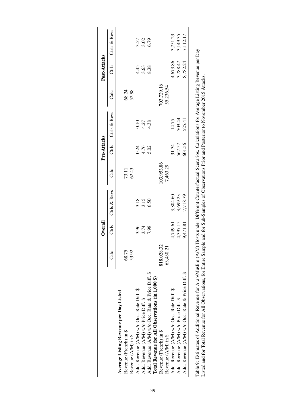<span id="page-39-0"></span>

|                                                                                                                                                                 |            | Overall  |                  |            | Pre-Attacks  |              |            | Post-Attacks |                      |
|-----------------------------------------------------------------------------------------------------------------------------------------------------------------|------------|----------|------------------|------------|--------------|--------------|------------|--------------|----------------------|
|                                                                                                                                                                 | ි<br>ධ     | Ctrls    | Ctrls & Revs     | Calc       | Ctrls        | Ctrls & Revs | Calc       | Ctrls        | Ctrls & Revs         |
| Average Listing Revenue per Day Listed                                                                                                                          |            |          |                  |            |              |              |            |              |                      |
| Revenue (French) in \$                                                                                                                                          | 68.75      |          |                  | 73.11      |              |              | 68.24      |              |                      |
| Revenue (A/M) in \$                                                                                                                                             | 53.92      |          |                  | 62.43      |              |              | 52.98      |              |                      |
| Add. Revenue (A/M) w/o Occ. Rate Diff. \$                                                                                                                       |            | 3.96     |                  |            | 0.24         | 0.10         |            | 4.45         |                      |
| Add. Revenue (A/M) w/o Price Diff. \$                                                                                                                           |            | 3.74     | $3.18$<br>$3.15$ |            | 4.76<br>5.02 | 4.27         |            | 3.63         | 3.57<br>3.02<br>6.79 |
| Add. Revenue (A/M) w/o Occ. Rate & Price Diff. \$                                                                                                               |            | 7.98     | 6.50             |            |              | 4.38         |            | 8.38         |                      |
| Total Revenue for All Observations (in 1,000 \$)                                                                                                                |            |          |                  |            |              |              |            |              |                      |
| Revenue (French) in \$                                                                                                                                          | 818,028.32 |          |                  | 103,953.86 |              |              | 703,729.16 |              |                      |
| Revenue (A/M) in \$                                                                                                                                             | 63,430.21  |          |                  | 7,463.29   |              |              | 55,236.54  |              |                      |
| Add. Revenue (A/M) w/o Occ. Rate Diff. \$                                                                                                                       |            | 4,749.61 | 3,804.60         |            | 31.34        | 14.75        |            | 4,673.86     | 3,751.23             |
| Add. Revenue (A/M) w/o Price Diff. \$                                                                                                                           |            | 4,397.15 | 3,699.23         |            | 567.57       | 509.44       |            | 3,788.47     | 3,149.35             |
| Add. Revenue (A/M) w/o Occ. Rate & Price Diff. \$                                                                                                               |            | 9,471.81 | 7,718.79         |            | 601.56       | 525.41       |            | 8,782.24     | 7,112.17             |
| Table 9: Estimates of Additional Revenue for Arab/Muslim (A/M) Hosts under Different Counterfactual Scenarios. Calculations for Average Listing Revenue per Day |            |          |                  |            |              |              |            |              |                      |
| Listed and for Total Revenue for All Observations, for Entire Sample and for Sub-Samples of Observations Prior and Posterior to November 2015 Attacks.          |            |          |                  |            |              |              |            |              |                      |

 $\mathbf{I}$